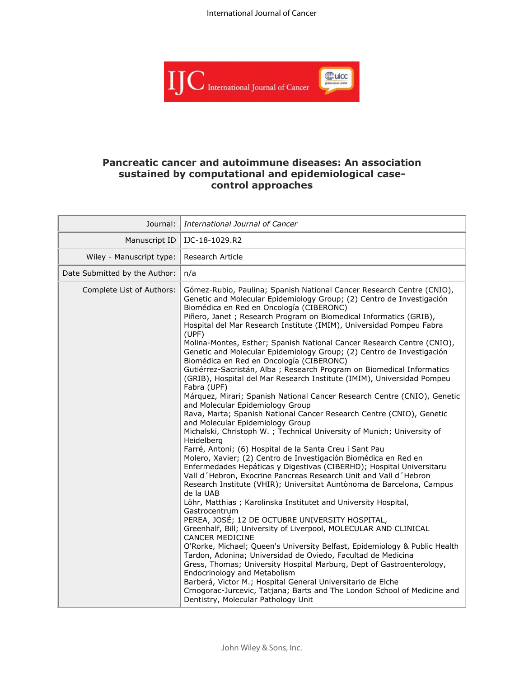

# **Pancreatic cancer and autoimmune diseases: An association sustained by computational and epidemiological casecontrol approaches**

| Journal:                      | International Journal of Cancer                                                                                                                                                                                                                                                                                                                                                                                                                                                                                                                                                                                                                                                                                                                                                                                                                                                                                                                                                                                                                                                                                                                                                                                                                                                                                                                                                                                                                                                                                                                                                                                                                                                                                                                                                                                                                                                                                                                                                                                                                                                        |
|-------------------------------|----------------------------------------------------------------------------------------------------------------------------------------------------------------------------------------------------------------------------------------------------------------------------------------------------------------------------------------------------------------------------------------------------------------------------------------------------------------------------------------------------------------------------------------------------------------------------------------------------------------------------------------------------------------------------------------------------------------------------------------------------------------------------------------------------------------------------------------------------------------------------------------------------------------------------------------------------------------------------------------------------------------------------------------------------------------------------------------------------------------------------------------------------------------------------------------------------------------------------------------------------------------------------------------------------------------------------------------------------------------------------------------------------------------------------------------------------------------------------------------------------------------------------------------------------------------------------------------------------------------------------------------------------------------------------------------------------------------------------------------------------------------------------------------------------------------------------------------------------------------------------------------------------------------------------------------------------------------------------------------------------------------------------------------------------------------------------------------|
| Manuscript ID                 | IJC-18-1029.R2                                                                                                                                                                                                                                                                                                                                                                                                                                                                                                                                                                                                                                                                                                                                                                                                                                                                                                                                                                                                                                                                                                                                                                                                                                                                                                                                                                                                                                                                                                                                                                                                                                                                                                                                                                                                                                                                                                                                                                                                                                                                         |
| Wiley - Manuscript type:      | <b>Research Article</b>                                                                                                                                                                                                                                                                                                                                                                                                                                                                                                                                                                                                                                                                                                                                                                                                                                                                                                                                                                                                                                                                                                                                                                                                                                                                                                                                                                                                                                                                                                                                                                                                                                                                                                                                                                                                                                                                                                                                                                                                                                                                |
| Date Submitted by the Author: | n/a                                                                                                                                                                                                                                                                                                                                                                                                                                                                                                                                                                                                                                                                                                                                                                                                                                                                                                                                                                                                                                                                                                                                                                                                                                                                                                                                                                                                                                                                                                                                                                                                                                                                                                                                                                                                                                                                                                                                                                                                                                                                                    |
| Complete List of Authors:     | Gómez-Rubio, Paulina; Spanish National Cancer Research Centre (CNIO),<br>Genetic and Molecular Epidemiology Group; (2) Centro de Investigación<br>Biomédica en Red en Oncología (CIBERONC)<br>Piñero, Janet ; Research Program on Biomedical Informatics (GRIB),<br>Hospital del Mar Research Institute (IMIM), Universidad Pompeu Fabra<br>(UPF)<br>Molina-Montes, Esther; Spanish National Cancer Research Centre (CNIO),<br>Genetic and Molecular Epidemiology Group; (2) Centro de Investigación<br>Biomédica en Red en Oncología (CIBERONC)<br>Gutiérrez-Sacristán, Alba ; Research Program on Biomedical Informatics<br>(GRIB), Hospital del Mar Research Institute (IMIM), Universidad Pompeu<br>Fabra (UPF)<br>Márquez, Mirari; Spanish National Cancer Research Centre (CNIO), Genetic<br>and Molecular Epidemiology Group<br>Rava, Marta; Spanish National Cancer Research Centre (CNIO), Genetic<br>and Molecular Epidemiology Group<br>Michalski, Christoph W. ; Technical University of Munich; University of<br>Heidelberg<br>Farré, Antoni; (6) Hospital de la Santa Creu i Sant Pau<br>Molero, Xavier; (2) Centro de Investigación Biomédica en Red en<br>Enfermedades Hepáticas y Digestivas (CIBERHD); Hospital Universitaru<br>Vall d'Hebron, Exocrine Pancreas Research Unit and Vall d'Hebron<br>Research Institute (VHIR); Universitat Auntònoma de Barcelona, Campus<br>de la UAB<br>Löhr, Matthias ; Karolinska Institutet and University Hospital,<br>Gastrocentrum<br>PEREA, JOSÉ; 12 DE OCTUBRE UNIVERSITY HOSPITAL,<br>Greenhalf, Bill; University of Liverpool, MOLECULAR AND CLINICAL<br><b>CANCER MEDICINE</b><br>O'Rorke, Michael; Queen's University Belfast, Epidemiology & Public Health<br>Tardon, Adonina; Universidad de Oviedo, Facultad de Medicina<br>Gress, Thomas; University Hospital Marburg, Dept of Gastroenterology,<br>Endocrinology and Metabolism<br>Barberá, Victor M.; Hospital General Universitario de Elche<br>Crnogorac-Jurcevic, Tatjana; Barts and The London School of Medicine and<br>Dentistry, Molecular Pathology Unit |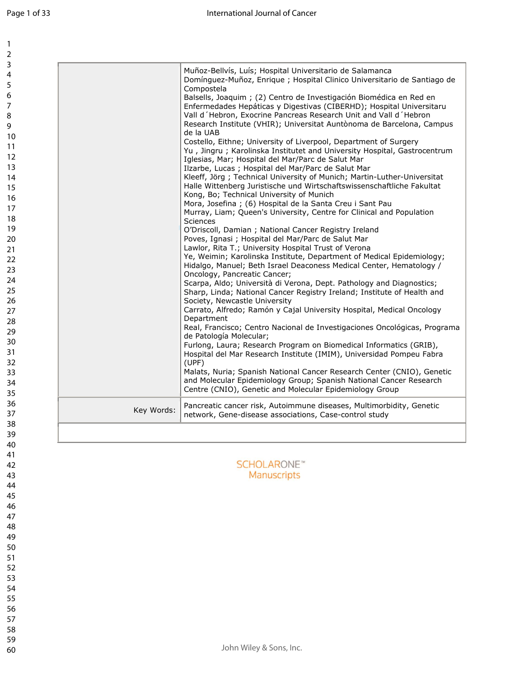|            | Muñoz-Bellvís, Luís; Hospital Universitario de Salamanca<br>Domínguez-Muñoz, Enrique ; Hospital Clinico Universitario de Santiago de<br>Compostela<br>Balsells, Joaquim ; (2) Centro de Investigación Biomédica en Red en<br>Enfermedades Hepáticas y Digestivas (CIBERHD); Hospital Universitaru<br>Vall d'Hebron, Exocrine Pancreas Research Unit and Vall d'Hebron<br>Research Institute (VHIR); Universitat Auntònoma de Barcelona, Campus<br>de la UAB<br>Costello, Eithne; University of Liverpool, Department of Surgery<br>Yu, Jingru; Karolinska Institutet and University Hospital, Gastrocentrum<br>Iglesias, Mar; Hospital del Mar/Parc de Salut Mar<br>Ilzarbe, Lucas ; Hospital del Mar/Parc de Salut Mar<br>Kleeff, Jörg; Technical University of Munich; Martin-Luther-Universitat<br>Halle Wittenberg Juristische und Wirtschaftswissenschaftliche Fakultat<br>Kong, Bo; Technical University of Munich<br>Mora, Josefina ; (6) Hospital de la Santa Creu i Sant Pau<br>Murray, Liam; Queen's University, Centre for Clinical and Population<br>Sciences<br>O'Driscoll, Damian ; National Cancer Registry Ireland<br>Poves, Ignasi ; Hospital del Mar/Parc de Salut Mar<br>Lawlor, Rita T.; University Hospital Trust of Verona<br>Ye, Weimin; Karolinska Institute, Department of Medical Epidemiology;<br>Hidalgo, Manuel; Beth Israel Deaconess Medical Center, Hematology /<br>Oncology, Pancreatic Cancer;<br>Scarpa, Aldo; Università di Verona, Dept. Pathology and Diagnostics;<br>Sharp, Linda; National Cancer Registry Ireland; Institute of Health and<br>Society, Newcastle University<br>Carrato, Alfredo; Ramón y Cajal University Hospital, Medical Oncology<br>Department<br>Real, Francisco; Centro Nacional de Investigaciones Oncológicas, Programa<br>de Patología Molecular; |
|------------|---------------------------------------------------------------------------------------------------------------------------------------------------------------------------------------------------------------------------------------------------------------------------------------------------------------------------------------------------------------------------------------------------------------------------------------------------------------------------------------------------------------------------------------------------------------------------------------------------------------------------------------------------------------------------------------------------------------------------------------------------------------------------------------------------------------------------------------------------------------------------------------------------------------------------------------------------------------------------------------------------------------------------------------------------------------------------------------------------------------------------------------------------------------------------------------------------------------------------------------------------------------------------------------------------------------------------------------------------------------------------------------------------------------------------------------------------------------------------------------------------------------------------------------------------------------------------------------------------------------------------------------------------------------------------------------------------------------------------------------------------------------------------------------------------------------------|
|            | Furlong, Laura; Research Program on Biomedical Informatics (GRIB),<br>Hospital del Mar Research Institute (IMIM), Universidad Pompeu Fabra<br>(UPF)                                                                                                                                                                                                                                                                                                                                                                                                                                                                                                                                                                                                                                                                                                                                                                                                                                                                                                                                                                                                                                                                                                                                                                                                                                                                                                                                                                                                                                                                                                                                                                                                                                                                 |
|            | Malats, Nuria; Spanish National Cancer Research Center (CNIO), Genetic<br>and Molecular Epidemiology Group; Spanish National Cancer Research<br>Centre (CNIO), Genetic and Molecular Epidemiology Group                                                                                                                                                                                                                                                                                                                                                                                                                                                                                                                                                                                                                                                                                                                                                                                                                                                                                                                                                                                                                                                                                                                                                                                                                                                                                                                                                                                                                                                                                                                                                                                                             |
| Key Words: | Pancreatic cancer risk, Autoimmune diseases, Multimorbidity, Genetic<br>network, Gene-disease associations, Case-control study                                                                                                                                                                                                                                                                                                                                                                                                                                                                                                                                                                                                                                                                                                                                                                                                                                                                                                                                                                                                                                                                                                                                                                                                                                                                                                                                                                                                                                                                                                                                                                                                                                                                                      |

**SCHOLARONE™** Manuscripts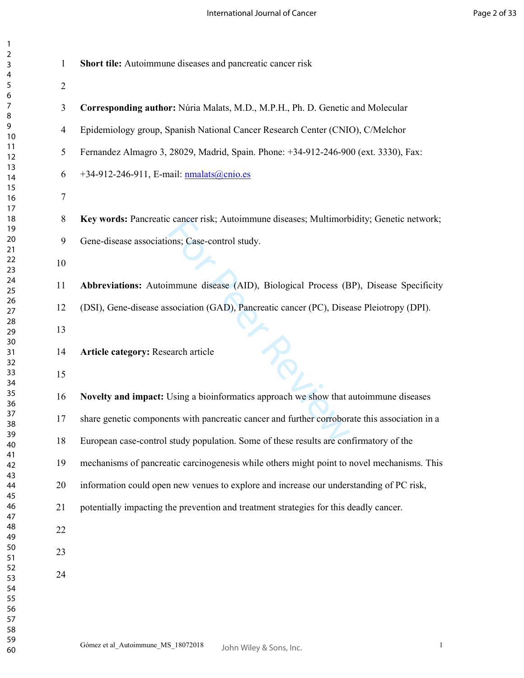| $\mathbf{1}$   | Short tile: Autoimmune diseases and pancreatic cancer risk                                    |
|----------------|-----------------------------------------------------------------------------------------------|
| $\overline{2}$ |                                                                                               |
| 3              | Corresponding author: Núria Malats, M.D., M.P.H., Ph. D. Genetic and Molecular                |
| 4              | Epidemiology group, Spanish National Cancer Research Center (CNIO), C/Melchor                 |
| 5              | Fernandez Almagro 3, 28029, Madrid, Spain. Phone: +34-912-246-900 (ext. 3330), Fax:           |
| 6              | +34-912-246-911, E-mail: nmalats@cnio.es                                                      |
| 7              |                                                                                               |
| $8\,$          | Key words: Pancreatic cancer risk; Autoimmune diseases; Multimorbidity; Genetic network;      |
| 9              | Gene-disease associations; Case-control study.                                                |
| 10             |                                                                                               |
| 11             | Abbreviations: Autoimmune disease (AID), Biological Process (BP), Disease Specificity         |
| 12             | (DSI), Gene-disease association (GAD), Pancreatic cancer (PC), Disease Pleiotropy (DPI).      |
| 13             |                                                                                               |
| 14             | Article category: Research article                                                            |
| 15             |                                                                                               |
| 16             | Novelty and impact: Using a bioinformatics approach we show that autoimmune diseases          |
| 17             | share genetic components with pancreatic cancer and further corroborate this association in a |
| 18             | European case-control study population. Some of these results are confirmatory of the         |
| 19             | mechanisms of pancreatic carcinogenesis while others might point to novel mechanisms. This    |
| 20             | information could open new venues to explore and increase our understanding of PC risk,       |
| 21             | potentially impacting the prevention and treatment strategies for this deadly cancer.         |
| 22             |                                                                                               |
| 23             |                                                                                               |
| 24             |                                                                                               |
|                |                                                                                               |
|                |                                                                                               |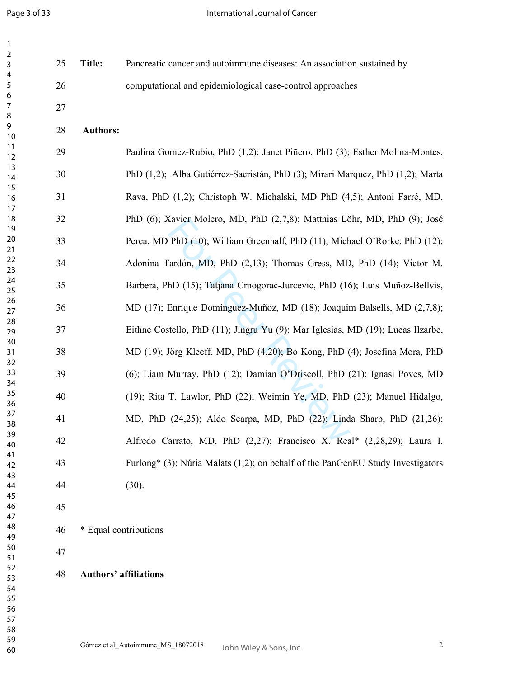| 1                     |    |                              |                                                                                 |
|-----------------------|----|------------------------------|---------------------------------------------------------------------------------|
| $\boldsymbol{2}$<br>3 | 25 | <b>Title:</b>                | Pancreatic cancer and autoimmune diseases: An association sustained by          |
| 4                     |    |                              |                                                                                 |
| 5                     | 26 |                              | computational and epidemiological case-control approaches                       |
| 6<br>7                | 27 |                              |                                                                                 |
| 8                     |    |                              |                                                                                 |
| 9                     | 28 | <b>Authors:</b>              |                                                                                 |
| 10<br>11              |    |                              |                                                                                 |
| 12                    | 29 |                              | Paulina Gomez-Rubio, PhD (1,2); Janet Piñero, PhD (3); Esther Molina-Montes,    |
| 13                    | 30 |                              | PhD (1,2); Alba Gutiérrez-Sacristán, PhD (3); Mirari Marquez, PhD (1,2); Marta  |
| 14<br>15              |    |                              |                                                                                 |
| 16                    | 31 |                              | Rava, PhD (1,2); Christoph W. Michalski, MD PhD (4,5); Antoni Farré, MD,        |
| 17                    |    |                              |                                                                                 |
| 18<br>19              | 32 |                              | PhD (6); Xavier Molero, MD, PhD (2,7,8); Matthias Löhr, MD, PhD (9); José       |
| 20                    | 33 |                              | Perea, MD PhD (10); William Greenhalf, PhD (11); Michael O'Rorke, PhD (12);     |
| 21                    |    |                              |                                                                                 |
| 22<br>23              | 34 |                              | Adonina Tardón, MD, PhD (2,13); Thomas Gress, MD, PhD (14); Victor M.           |
| 24                    | 35 |                              | Barberà, PhD (15); Tatjana Crnogorac-Jurcevic, PhD (16); Luís Muñoz-Bellvís,    |
| 25                    |    |                              |                                                                                 |
| 26<br>27              | 36 |                              | MD (17); Enrique Domínguez-Muñoz, MD (18); Joaquim Balsells, MD (2,7,8);        |
| 28                    |    |                              |                                                                                 |
| 29                    | 37 |                              | Eithne Costello, PhD (11); Jingru Yu (9); Mar Iglesias, MD (19); Lucas Ilzarbe, |
| 30<br>31              | 38 |                              | MD (19); Jörg Kleeff, MD, PhD (4,20); Bo Kong, PhD (4); Josefina Mora, PhD      |
| 32                    |    |                              |                                                                                 |
| 33                    | 39 |                              | (6); Liam Murray, PhD (12); Damian O'Driscoll, PhD (21); Ignasi Poves, MD       |
| 34<br>35              |    |                              |                                                                                 |
| 36                    | 40 |                              | (19); Rita T. Lawlor, PhD (22); Weimin Ye, MD, PhD (23); Manuel Hidalgo,        |
| 37                    | 41 |                              | MD, PhD (24,25); Aldo Scarpa, MD, PhD (22); Linda Sharp, PhD (21,26);           |
| 38<br>39              |    |                              |                                                                                 |
| 40                    | 42 |                              | Alfredo Carrato, MD, PhD (2,27); Francisco X. Real* (2,28,29); Laura I.         |
| 41                    | 43 |                              | Furlong* (3); Núria Malats (1,2); on behalf of the PanGenEU Study Investigators |
| 42<br>43              |    |                              |                                                                                 |
| 44                    | 44 |                              | (30).                                                                           |
| 45                    |    |                              |                                                                                 |
| 46<br>47              | 45 |                              |                                                                                 |
| 48                    | 46 | * Equal contributions        |                                                                                 |
| 49                    |    |                              |                                                                                 |
| 50<br>51              | 47 |                              |                                                                                 |
| 52                    |    |                              |                                                                                 |
| 53                    | 48 | <b>Authors' affiliations</b> |                                                                                 |
| 54<br>55              |    |                              |                                                                                 |
| 56                    |    |                              |                                                                                 |
| 57                    |    |                              |                                                                                 |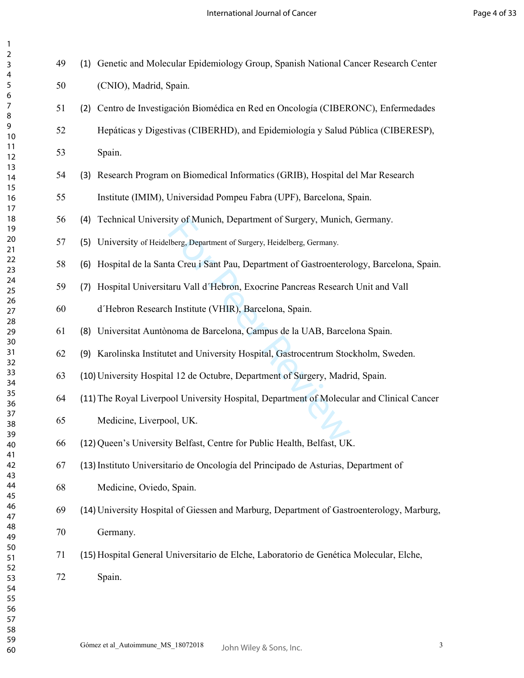International Journal of Cancer

| $\overline{c}$                                                                           |
|------------------------------------------------------------------------------------------|
|                                                                                          |
|                                                                                          |
|                                                                                          |
| - 4 5 6 7 8 9 10 11 12 13 14 15 16 17 18 .                                               |
|                                                                                          |
|                                                                                          |
|                                                                                          |
|                                                                                          |
|                                                                                          |
|                                                                                          |
|                                                                                          |
|                                                                                          |
|                                                                                          |
|                                                                                          |
|                                                                                          |
|                                                                                          |
|                                                                                          |
|                                                                                          |
|                                                                                          |
|                                                                                          |
|                                                                                          |
|                                                                                          |
| - 18 19 20 11 22 23 24 25 26 27 28 29 30 31 32 33 34 29 20 31 32 33 34 29 20 31 32 33 34 |
|                                                                                          |
|                                                                                          |
|                                                                                          |
|                                                                                          |
|                                                                                          |
|                                                                                          |
|                                                                                          |
|                                                                                          |
|                                                                                          |
|                                                                                          |
|                                                                                          |
|                                                                                          |
|                                                                                          |
|                                                                                          |
|                                                                                          |
| 33<br>34<br>35<br>36<br>37                                                               |
|                                                                                          |
|                                                                                          |
| Ì<br>39                                                                                  |
| 40                                                                                       |
|                                                                                          |
| 41                                                                                       |
| 42                                                                                       |
| 43                                                                                       |
| 44                                                                                       |
| 45                                                                                       |
| 46                                                                                       |
| 47                                                                                       |
| 48                                                                                       |
| 49                                                                                       |
|                                                                                          |
| 50                                                                                       |
| 51                                                                                       |
| 52                                                                                       |
| 53                                                                                       |
| 54                                                                                       |
| 55                                                                                       |
| 56                                                                                       |
|                                                                                          |
| 57                                                                                       |
| 58                                                                                       |
| 59                                                                                       |
| 60                                                                                       |

| 49 | (1) Genetic and Molecular Epidemiology Group, Spanish National Cancer Research Center       |
|----|---------------------------------------------------------------------------------------------|
| 50 | (CNIO), Madrid, Spain.                                                                      |
| 51 | (2) Centro de Investigación Biomédica en Red en Oncología (CIBERONC), Enfermedades          |
| 52 | Hepáticas y Digestivas (CIBERHD), and Epidemiología y Salud Pública (CIBERESP),             |
| 53 | Spain.                                                                                      |
| 54 | (3) Research Program on Biomedical Informatics (GRIB), Hospital del Mar Research            |
| 55 | Institute (IMIM), Universidad Pompeu Fabra (UPF), Barcelona, Spain.                         |
| 56 | (4) Technical University of Munich, Department of Surgery, Munich, Germany.                 |
| 57 | (5) University of Heidelberg, Department of Surgery, Heidelberg, Germany.                   |
| 58 | (6) Hospital de la Santa Creu i Sant Pau, Department of Gastroenterology, Barcelona, Spain. |
| 59 | (7) Hospital Universitaru Vall d'Hebron, Exocrine Pancreas Research Unit and Vall           |
| 60 | d'Hebron Research Institute (VHIR), Barcelona, Spain.                                       |
| 61 | (8) Universitat Auntònoma de Barcelona, Campus de la UAB, Barcelona Spain.                  |
| 62 | (9) Karolinska Institutet and University Hospital, Gastrocentrum Stockholm, Sweden.         |
| 63 | (10) University Hospital 12 de Octubre, Department of Surgery, Madrid, Spain.               |
| 64 | (11) The Royal Liverpool University Hospital, Department of Molecular and Clinical Cancer   |
| 65 | Medicine, Liverpool, UK.                                                                    |
| 66 | (12) Queen's University Belfast, Centre for Public Health, Belfast, UK.                     |
| 67 | (13) Instituto Universitario de Oncología del Principado de Asturias, Department of         |
| 68 | Medicine, Oviedo, Spain.                                                                    |
| 69 | (14) University Hospital of Giessen and Marburg, Department of Gastroenterology, Marburg,   |
| 70 | Germany.                                                                                    |
| 71 | (15) Hospital General Universitario de Elche, Laboratorio de Genética Molecular, Elche,     |
| 72 | Spain.                                                                                      |
|    |                                                                                             |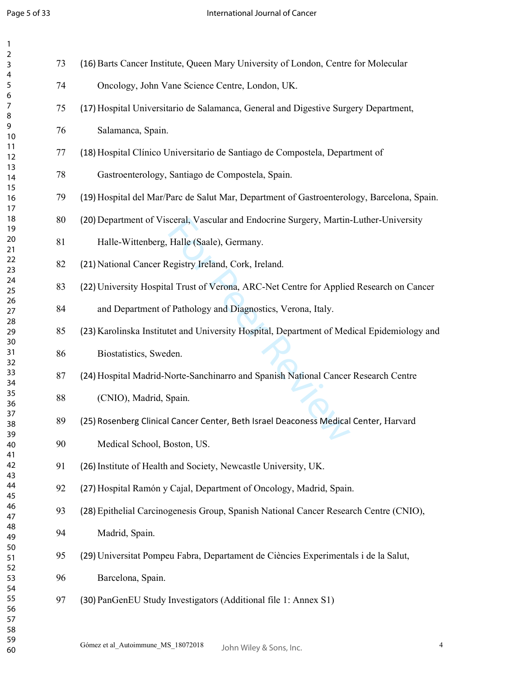| 73 | (16) Barts Cancer Institute, Queen Mary University of London, Centre for Molecular         |
|----|--------------------------------------------------------------------------------------------|
| 74 | Oncology, John Vane Science Centre, London, UK.                                            |
| 75 | (17) Hospital Universitario de Salamanca, General and Digestive Surgery Department,        |
| 76 | Salamanca, Spain.                                                                          |
|    |                                                                                            |
| 77 | (18) Hospital Clínico Universitario de Santiago de Compostela, Department of               |
| 78 | Gastroenterology, Santiago de Compostela, Spain.                                           |
| 79 | (19) Hospital del Mar/Parc de Salut Mar, Department of Gastroenterology, Barcelona, Spain. |
| 80 | (20) Department of Visceral, Vascular and Endocrine Surgery, Martin-Luther-University      |
| 81 | Halle-Wittenberg, Halle (Saale), Germany.                                                  |
| 82 | (21) National Cancer Registry Ireland, Cork, Ireland.                                      |
| 83 | (22) University Hospital Trust of Verona, ARC-Net Centre for Applied Research on Cancer    |
| 84 | and Department of Pathology and Diagnostics, Verona, Italy.                                |
| 85 | (23) Karolinska Institutet and University Hospital, Department of Medical Epidemiology and |
| 86 | Biostatistics, Sweden.                                                                     |
| 87 | (24) Hospital Madrid-Norte-Sanchinarro and Spanish National Cancer Research Centre         |
| 88 | (CNIO), Madrid, Spain.                                                                     |
| 89 | (25) Rosenberg Clinical Cancer Center, Beth Israel Deaconess Medical Center, Harvard       |
| 90 | Medical School, Boston, US.                                                                |
| 91 | (26) Institute of Health and Society, Newcastle University, UK.                            |
| 92 | (27) Hospital Ramón y Cajal, Department of Oncology, Madrid, Spain.                        |
| 93 | (28) Epithelial Carcinogenesis Group, Spanish National Cancer Research Centre (CNIO),      |
| 94 | Madrid, Spain.                                                                             |
| 95 | (29) Universitat Pompeu Fabra, Departament de Ciències Experimentals i de la Salut,        |
| 96 | Barcelona, Spain.                                                                          |
| 97 | (30) PanGenEU Study Investigators (Additional file 1: Annex S1)                            |
|    |                                                                                            |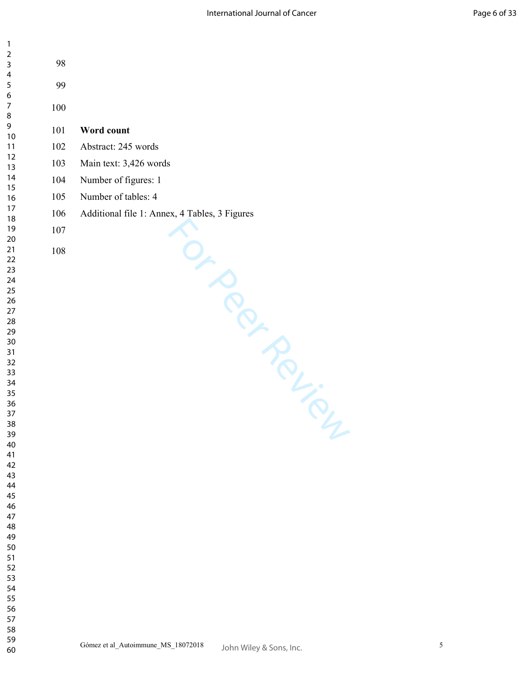| $\mathbf{1}$        |         |                                               |
|---------------------|---------|-----------------------------------------------|
| $\overline{2}$<br>3 | 98      |                                               |
| 4                   |         |                                               |
| 5<br>6              | 99      |                                               |
| $\overline{7}$<br>8 | $100\,$ |                                               |
| 9                   | 101     | Word count                                    |
| $10$<br>11          | 102     | Abstract: 245 words                           |
| 12<br>13            | 103     | Main text: 3,426 words                        |
| 14                  | 104     | Number of figures: 1                          |
| 15<br>16            | 105     | Number of tables: 4                           |
| 17<br>18            | 106     | Additional file 1: Annex, 4 Tables, 3 Figures |
| 19                  | $107\,$ |                                               |
| 20<br>21            | $108\,$ |                                               |
| 22                  |         | Up of<br>in Religion                          |
| 23<br>24            |         |                                               |
| 25<br>26            |         |                                               |
| 27                  |         |                                               |
| 28<br>29            |         |                                               |
| $30\,$<br>31        |         |                                               |
| 32                  |         |                                               |
| 33<br>34            |         |                                               |
| 35                  |         |                                               |
| 36<br>37            |         |                                               |
| 38<br>39            |         |                                               |
| 40                  |         |                                               |
| 41<br>42            |         |                                               |
| 43<br>44            |         |                                               |
| 45                  |         |                                               |
| 46<br>47            |         |                                               |
| 48                  |         |                                               |
| 49<br>50            |         |                                               |
| 51<br>52            |         |                                               |
| 53                  |         |                                               |
| 54<br>55            |         |                                               |
| 56                  |         |                                               |
| 57<br>58            |         |                                               |

 $\mathbf{1}$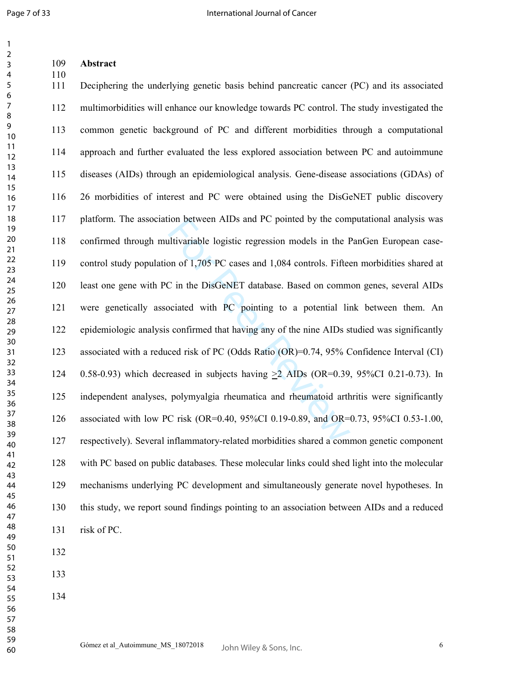**Abstract** 

| 110<br>111 | Deciphering the underlying genetic basis behind pancreatic cancer (PC) and its associated    |
|------------|----------------------------------------------------------------------------------------------|
| 112        | multimorbidities will enhance our knowledge towards PC control. The study investigated the   |
| 113        | common genetic background of PC and different morbidities through a computational            |
| 114        | approach and further evaluated the less explored association between PC and autoimmune       |
| 115        | diseases (AIDs) through an epidemiological analysis. Gene-disease associations (GDAs) of     |
| 116        | 26 morbidities of interest and PC were obtained using the DisGeNET public discovery          |
| 117        | platform. The association between AIDs and PC pointed by the computational analysis was      |
| 118        | confirmed through multivariable logistic regression models in the PanGen European case-      |
| 119        | control study population of 1,705 PC cases and 1,084 controls. Fifteen morbidities shared at |
| 120        | least one gene with PC in the DisGeNET database. Based on common genes, several AIDs         |
| 121        | were genetically associated with PC pointing to a potential link between them. An            |
| 122        | epidemiologic analysis confirmed that having any of the nine AIDs studied was significantly  |
| 123        | associated with a reduced risk of PC (Odds Ratio (OR)=0.74, 95% Confidence Interval (CI)     |
| 124        | 0.58-0.93) which decreased in subjects having $\geq$ 2 AIDs (OR=0.39, 95%CI 0.21-0.73). In   |
| 125        | independent analyses, polymyalgia rheumatica and rheumatoid arthritis were significantly     |
| 126        | associated with low PC risk (OR=0.40, 95%CI 0.19-0.89, and OR=0.73, 95%CI 0.53-1.00,         |
| 127        | respectively). Several inflammatory-related morbidities shared a common genetic component    |
| 128        | with PC based on public databases. These molecular links could shed light into the molecular |
| 129        | mechanisms underlying PC development and simultaneously generate novel hypotheses. In        |
| 130        | this study, we report sound findings pointing to an association between AIDs and a reduced   |
| 131        | risk of PC.                                                                                  |
| 132        |                                                                                              |
| 133        |                                                                                              |
|            |                                                                                              |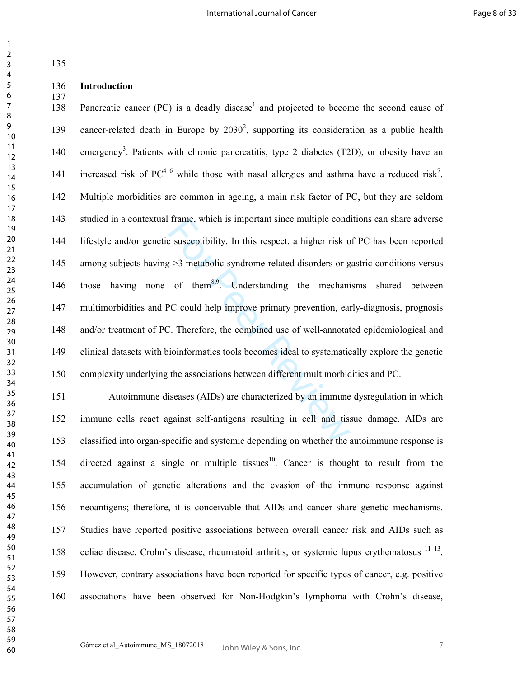| 135        |                                                                                                             |
|------------|-------------------------------------------------------------------------------------------------------------|
| 136<br>137 | Introduction                                                                                                |
| 138        | Pancreatic cancer (PC) is a deadly disease <sup>1</sup> and projected to become the second cause of         |
| 139        | cancer-related death in Europe by $2030^2$ , supporting its consideration as a public health                |
| 140        | emergency <sup>3</sup> . Patients with chronic pancreatitis, type 2 diabetes (T2D), or obesity have an      |
| 141        | increased risk of $PC^{4-6}$ while those with nasal allergies and asthma have a reduced risk <sup>7</sup> . |
| 142        | Multiple morbidities are common in ageing, a main risk factor of PC, but they are seldom                    |
| 143        | studied in a contextual frame, which is important since multiple conditions can share adverse               |
| 144        | lifestyle and/or genetic susceptibility. In this respect, a higher risk of PC has been reported             |
| 145        | among subjects having $\geq$ 3 metabolic syndrome-related disorders or gastric conditions versus            |
| 146        | having none of them <sup>8,9</sup> . Understanding the mechanisms shared between<br>those                   |
| 147        | multimorbidities and PC could help improve primary prevention, early-diagnosis, prognosis                   |
| 148        | and/or treatment of PC. Therefore, the combined use of well-annotated epidemiological and                   |
| 149        | clinical datasets with bioinformatics tools becomes ideal to systematically explore the genetic             |
| 150        | complexity underlying the associations between different multimorbidities and PC.                           |
| 151        | Autoimmune diseases (AIDs) are characterized by an immune dysregulation in which                            |
| 152        | immune cells react against self-antigens resulting in cell and tissue damage. AIDs are                      |
| 153        | classified into organ-specific and systemic depending on whether the autoimmune response is                 |
| 154        | directed against a single or multiple tissues <sup>10</sup> . Cancer is thought to result from the          |
| 155        | accumulation of genetic alterations and the evasion of the immune response against                          |
| 156        | neoantigens; therefore, it is conceivable that AIDs and cancer share genetic mechanisms.                    |
| 157        | Studies have reported positive associations between overall cancer risk and AIDs such as                    |
| 158        | celiac disease, Crohn's disease, rheumatoid arthritis, or systemic lupus erythematosus $11-13$ .            |
| 159        | However, contrary associations have been reported for specific types of cancer, e.g. positive               |
| 160        | associations have been observed for Non-Hodgkin's lymphoma with Crohn's disease,                            |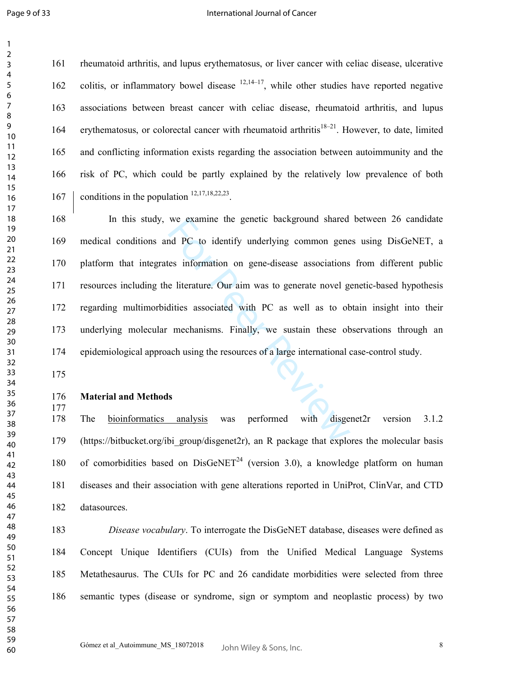$\mathbf{1}$  $\overline{2}$ 

### International Journal of Cancer

161 rheumatoid arthritis, and lupus erythematosus, or liver cancer with celiac disease, ulcerative 162 colitis, or inflammatory bowel disease  $(12,14-17)$ , while other studies have reported negative 163 associations between breast cancer with celiac disease, rheumatoid arthritis, and lupus 164 erythematosus, or colorectal cancer with rheumatoid arthritis $18-21$ . However, to date, limited 165 and conflicting information exists regarding the association between autoimmunity and the 166 risk of PC, which could be partly explained by the relatively low prevalence of both 167 conditions in the population  $12,17,18,22,23$ .

we examine the genetic background shared<br>d PC to identify underlying common gene<br>es information on gene-disease associations<br>e literature. Our aim was to generate novel ge<br>dities associated with PC as well as to ob<br>mechani 168 In this study, we examine the genetic background shared between 26 candidate 169 medical conditions and PC to identify underlying common genes using DisGeNET, a 170 platform that integrates information on gene-disease associations from different public 171 resources including the literature. Our aim was to generate novel genetic-based hypothesis 172 regarding multimorbidities associated with PC as well as to obtain insight into their 173 underlying molecular mechanisms. Finally, we sustain these observations through an 174 epidemiological approach using the resources of a large international case-control study.

## **Material and Methods**

178 The bioinformatics analysis was performed with disgenet2r version 3.1.2 179 (https://bitbucket.org/ibi\_group/disgenet2r), an R package that explores the molecular basis 180 of comorbidities based on  $DisGeNET^{24}$  (version 3.0), a knowledge platform on human 181 diseases and their association with gene alterations reported in UniProt, ClinVar, and CTD 182 datasources.

*Disease vocabulary*. To interrogate the DisGeNET database, diseases were defined as 184 Concept Unique Identifiers (CUIs) from the Unified Medical Language Systems 185 Metathesaurus. The CUIs for PC and 26 candidate morbidities were selected from three 186 semantic types (disease or syndrome, sign or symptom and neoplastic process) by two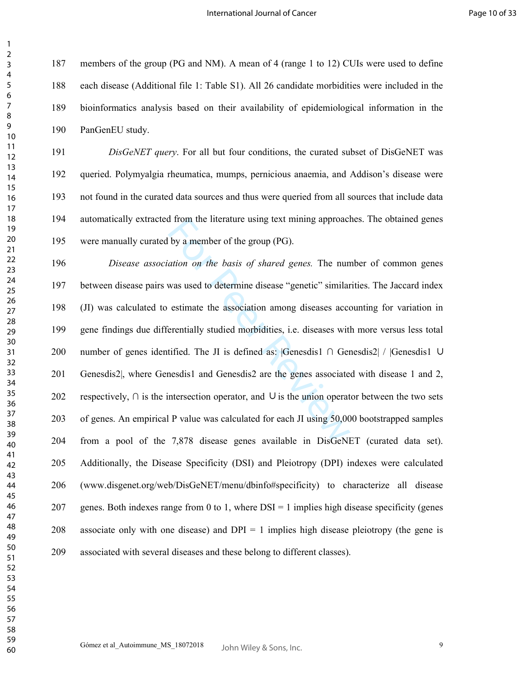187 members of the group (PG and NM). A mean of 4 (range 1 to 12) CUIs were used to define 188 each disease (Additional file 1: Table S1). All 26 candidate morbidities were included in the 189 bioinformatics analysis based on their availability of epidemiological information in the 190 PanGenEU study.

*DisGeNET query*. For all but four conditions, the curated subset of DisGeNET was 192 queried. Polymyalgia rheumatica, mumps, pernicious anaemia, and Addison's disease were 193 not found in the curated data sources and thus were queried from all sources that include data 194 automatically extracted from the literature using text mining approaches. The obtained genes 195 were manually curated by a member of the group (PG).

If from the literature using text mining approach<br>by a member of the group (PG).<br>ation on the basis of shared genes. The nun<br>was used to determine disease "genetic" similar<br>estimate the association among diseases accorder *Disease association on the basis of shared genes.* The number of common genes 197 between disease pairs was used to determine disease "genetic" similarities. The Jaccard index 198 (JI) was calculated to estimate the association among diseases accounting for variation in 199 gene findings due differentially studied morbidities, i.e. diseases with more versus less total 200 number of genes identified. The JI is defined as: |Genesdis1 ∩ Genesdis2| / |Genesdis1 ∪ 201 Genesdis2|, where Genesdis1 and Genesdis2 are the genes associated with disease 1 and 2, 202 respectively, ∩ is the intersection operator, and ∪ is the union operator between the two sets 203 of genes. An empirical P value was calculated for each JI using 50,000 bootstrapped samples 204 from a pool of the 7,878 disease genes available in DisGeNET (curated data set). 205 Additionally, the Disease Specificity (DSI) and Pleiotropy (DPI) indexes were calculated 206 (www.disgenet.org/web/DisGeNET/menu/dbinfo#specificity) to characterize all disease 207 genes. Both indexes range from 0 to 1, where DSI = 1 implies high disease specificity (genes 208 associate only with one disease) and  $DPI = 1$  implies high disease pleiotropy (the gene is 209 associated with several diseases and these belong to different classes).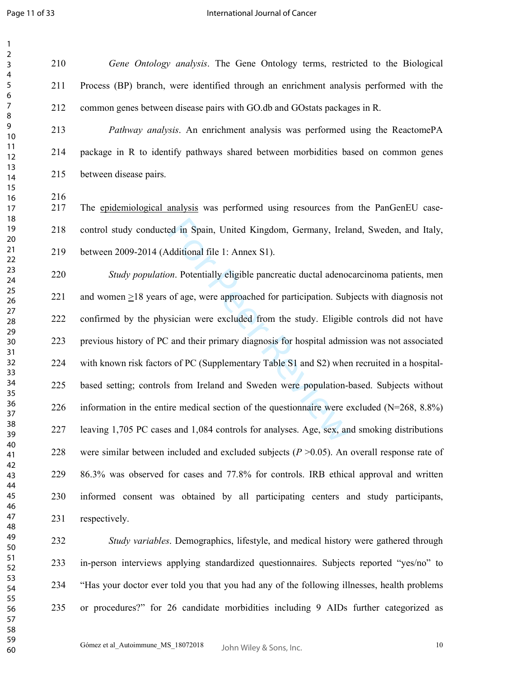*Gene Ontology analysis*. The Gene Ontology terms, restricted to the Biological 211 Process (BP) branch, were identified through an enrichment analysis performed with the 212 common genes between disease pairs with GO.db and GOstats packages in R.

*Pathway analysis* . An enrichment analysis was performed using the ReactomePA 214 package in R to identify pathways shared between morbidities based on common genes 215 between disease pairs.

216<br>217 The epidemiological analysis was performed using resources from the PanGenEU case-218 control study conducted in Spain, United Kingdom, Germany, Ireland, Sweden, and Italy, 219 between 2009-2014 (Additional file 1: Annex S1).

ed in Spain, United Kingdom, Germany, Irela<br>dditional file 1: Annex S1).<br>on. Potentially eligible pancreatic ductal adenoc<br>of age, were approached for participation. Sub<br>sician were excluded from the study. Eligible<br>and th *Study population*. Potentially eligible pancreatic ductal adenocarcinoma patients, men 221 and women  $\geq$ 18 years of age, were approached for participation. Subjects with diagnosis not 222 confirmed by the physician were excluded from the study. Eligible controls did not have 223 previous history of PC and their primary diagnosis for hospital admission was not associated 224 with known risk factors of PC (Supplementary Table S1 and S2) when recruited in a hospital-225 based setting; controls from Ireland and Sweden were population-based. Subjects without 226 information in the entire medical section of the questionnaire were excluded  $(N=268, 8.8%)$ 227 leaving 1,705 PC cases and 1,084 controls for analyses. Age, sex, and smoking distributions 228 were similar between included and excluded subjects  $(P > 0.05)$ . An overall response rate of 229 86.3% was observed for cases and 77.8% for controls. IRB ethical approval and written 230 informed consent was obtained by all participating centers and study participants, 231 respectively.

*Study variables*. Demographics, lifestyle, and medical history were gathered through 233 in-person interviews applying standardized questionnaires. Subjects reported "yes/no" to 234 "Has your doctor ever told you that you had any of the following illnesses, health problems 235 or procedures?" for 26 candidate morbidities including 9 AIDs further categorized as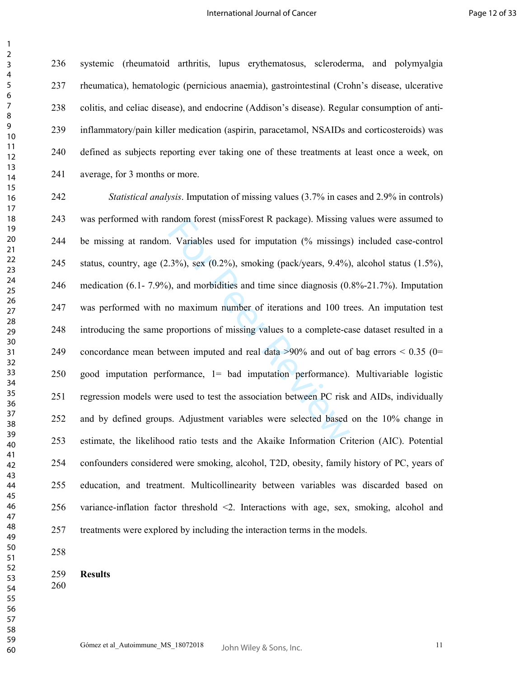236 systemic (rheumatoid arthritis, lupus erythematosus, scleroderma, and polymyalgia 237 rheumatica), hematologic (pernicious anaemia), gastrointestinal (Crohn's disease, ulcerative 238 colitis, and celiac disease), and endocrine (Addison's disease). Regular consumption of anti-239 inflammatory/pain killer medication (aspirin, paracetamol, NSAIDs and corticosteroids) was 240 defined as subjects reporting ever taking one of these treatments at least once a week, on 241 average, for 3 months or more.

ndom forest (missForest K package). Missing<br>
. Variables used for imputation (% missings<br>
.3%), sex (0.2%), smoking (pack/years, 9.4%)<br>
), and morbidities and time since diagnosis (0.<br>
no maximum number of iterations and 1 *Statistical analysis*. Imputation of missing values (3.7% in cases and 2.9% in controls) 243 was performed with random forest (missForest R package). Missing values were assumed to 244 be missing at random. Variables used for imputation (% missings) included case-control 245 status, country, age (2.3%), sex (0.2%), smoking (pack/years, 9.4%), alcohol status (1.5%), 246 medication (6.1- 7.9%), and morbidities and time since diagnosis (0.8%-21.7%). Imputation 247 was performed with no maximum number of iterations and 100 trees. An imputation test 248 introducing the same proportions of missing values to a complete-case dataset resulted in a 249 concordance mean between imputed and real data >90% and out of bag errors < 0.35 (0= 250 good imputation performance, 1= bad imputation performance). Multivariable logistic 251 regression models were used to test the association between PC risk and AIDs, individually 252 and by defined groups. Adjustment variables were selected based on the 10% change in 253 estimate, the likelihood ratio tests and the Akaike Information Criterion (AIC). Potential 254 confounders considered were smoking, alcohol, T2D, obesity, family history of PC, years of 255 education, and treatment. Multicollinearity between variables was discarded based on 256 variance-inflation factor threshold <2. Interactions with age, sex, smoking, alcohol and 257 treatments were explored by including the interaction terms in the models.

**Results**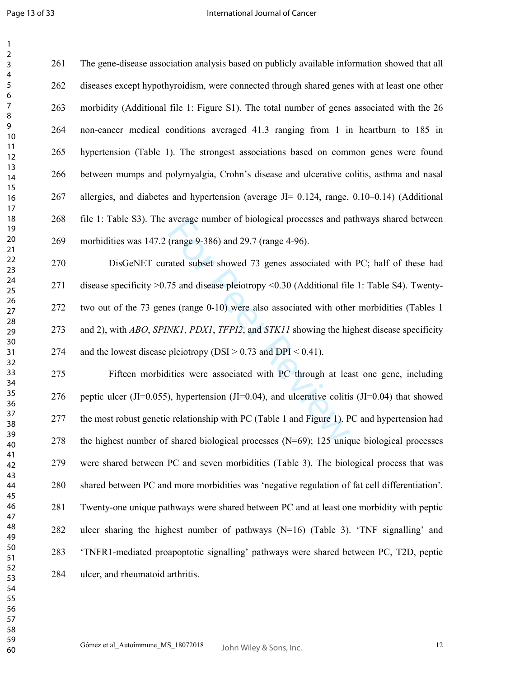$\mathbf{1}$  $\overline{2}$ 

261 The gene-disease association analysis based on publicly available information showed that all 262 diseases except hypothyroidism, were connected through shared genes with at least one other 263 morbidity (Additional file 1: Figure S1). The total number of genes associated with the 26 264 non-cancer medical conditions averaged 41.3 ranging from 1 in heartburn to 185 in 265 hypertension (Table 1). The strongest associations based on common genes were found 266 between mumps and polymyalgia, Crohn's disease and ulcerative colitis, asthma and nasal allergies, and diabetes and hypertension (average JI= 0.124, range, 0.10–0.14) (Additional 268 file 1: Table S3). The average number of biological processes and pathways shared between 269 morbidities was 147.2 (range 9-386) and 29.7 (range 4-96).

average number of biological processes and pa<br>
(range 9-386) and 29.7 (range 4-96).<br>
ated subset showed 73 genes associated with<br>
75 and disease pleiotropy <0.30 (Additional file<br>
es (range 0-10) were also associated with 270 DisGeNET curated subset showed 73 genes associated with PC; half of these had 271 disease specificity >0.75 and disease pleiotropy <0.30 (Additional file 1: Table S4). Twenty-272 two out of the 73 genes (range 0-10) were also associated with other morbidities (Tables 1 273 and 2), with *ABO*, *SPINK1*, *PDX1*, *TFPI2*, and *STK11* showing the highest disease specificity 274 and the lowest disease pleiotropy (DSI  $> 0.73$  and DPI  $< 0.41$ ).

275 Fifteen morbidities were associated with PC through at least one gene, including 276 peptic ulcer (JI=0.055), hypertension (JI=0.04), and ulcerative colitis (JI=0.04) that showed 277 the most robust genetic relationship with PC (Table 1 and Figure 1). PC and hypertension had 278 the highest number of shared biological processes (N=69); 125 unique biological processes 279 were shared between PC and seven morbidities (Table 3). The biological process that was 280 shared between PC and more morbidities was 'negative regulation of fat cell differentiation'. 281 Twenty-one unique pathways were shared between PC and at least one morbidity with peptic 282 ulcer sharing the highest number of pathways (N=16) (Table 3). 'TNF signalling' and 283 'TNFR1-mediated proapoptotic signalling' pathways were shared between PC, T2D, peptic 284 ulcer, and rheumatoid arthritis.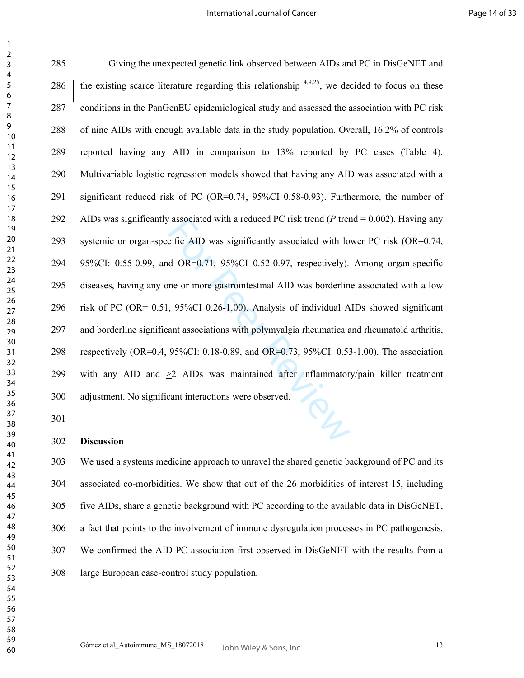For all a reduced PC risk trend (P trend in the efficiently associated with lot of OR=0.71, 95%CI 0.52-0.97, respectively).<br>
The or more gastrointestinal AID was borderlin<br>
95%CI 0.26-1.00). Analysis of individual A ant a 285 Giving the unexpected genetic link observed between AIDs and PC in DisGeNET and 286  $\parallel$  the existing scarce literature regarding this relationship <sup>4,9,25</sup>, we decided to focus on these 287 conditions in the PanGenEU epidemiological study and assessed the association with PC risk 288 of nine AIDs with enough available data in the study population. Overall, 16.2% of controls 289 reported having any AID in comparison to 13% reported by PC cases (Table 4). 290 Multivariable logistic regression models showed that having any AID was associated with a 291 significant reduced risk of PC (OR=0.74, 95%CI 0.58-0.93). Furthermore, the number of 292 AIDs was significantly associated with a reduced PC risk trend (*P* trend = 0.002). Having any 293 systemic or organ-specific AID was significantly associated with lower PC risk (OR=0.74, 294 95%CI: 0.55-0.99, and OR=0.71, 95%CI 0.52-0.97, respectively). Among organ-specific 295 diseases, having any one or more gastrointestinal AID was borderline associated with a low 296 risk of PC (OR= 0.51, 95%CI 0.26-1.00). Analysis of individual AIDs showed significant 297 and borderline significant associations with polymyalgia rheumatica and rheumatoid arthritis, 298 respectively (OR=0.4, 95%CI: 0.18-0.89, and OR=0.73, 95%CI: 0.53-1.00). The association 299 with any AID and >2 AIDs was maintained after inflammatory/pain killer treatment 300 adjustment. No significant interactions were observed.

**Discussion** 

303 We used a systems medicine approach to unravel the shared genetic background of PC and its 304 associated co-morbidities. We show that out of the 26 morbidities of interest 15, including 305 five AIDs, share a genetic background with PC according to the available data in DisGeNET, 306 a fact that points to the involvement of immune dysregulation processes in PC pathogenesis. 307 We confirmed the AID-PC association first observed in DisGeNET with the results from a 308 large European case-control study population.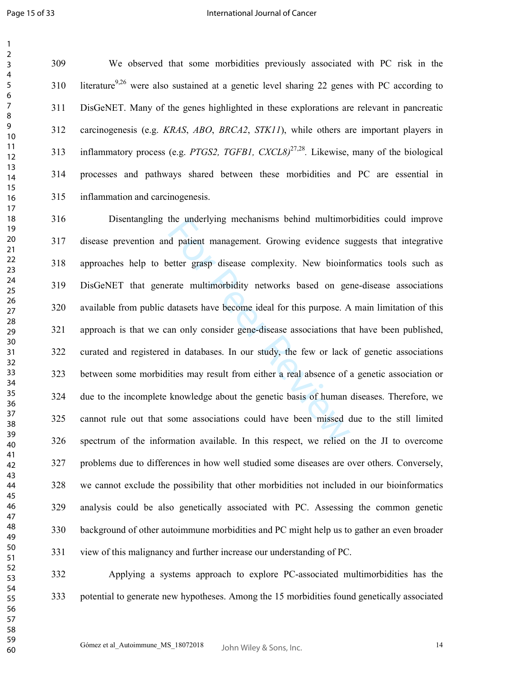#### International Journal of Cancer

309 We observed that some morbidities previously associated with PC risk in the 310 literature<sup>9,26</sup> were also sustained at a genetic level sharing 22 genes with PC according to 311 DisGeNET. Many of the genes highlighted in these explorations are relevant in pancreatic 312 carcinogenesis (e.g. *KRAS*, *ABO*, *BRCA2*, *STK11*), while others are important players in inflammatory process (e.g. *PTGS2, TGFB1, CXCL8)*27,28 *.* Likewise, many of the biological 314 processes and pathways shared between these morbidities and PC are essential in 315 inflammation and carcinogenesis.

the underlying mechanisms behind multimord<br>d patient management. Growing evidence st<br>etter grasp disease complexity. New bioinfor-<br>trate multimorbidity networks based on ger<br>datasets have become ideal for this purpose. A<br>a 316 Disentangling the underlying mechanisms behind multimorbidities could improve 317 disease prevention and patient management. Growing evidence suggests that integrative 318 approaches help to better grasp disease complexity. New bioinformatics tools such as 319 DisGeNET that generate multimorbidity networks based on gene-disease associations 320 available from public datasets have become ideal for this purpose. A main limitation of this 321 approach is that we can only consider gene-disease associations that have been published, 322 curated and registered in databases. In our study, the few or lack of genetic associations 323 between some morbidities may result from either a real absence of a genetic association or 324 due to the incomplete knowledge about the genetic basis of human diseases. Therefore, we 325 cannot rule out that some associations could have been missed due to the still limited 326 spectrum of the information available. In this respect, we relied on the JI to overcome 327 problems due to differences in how well studied some diseases are over others. Conversely, 328 we cannot exclude the possibility that other morbidities not included in our bioinformatics 329 analysis could be also genetically associated with PC. Assessing the common genetic 330 background of other autoimmune morbidities and PC might help us to gather an even broader 331 view of this malignancy and further increase our understanding of PC.

332 Applying a systems approach to explore PC-associated multimorbidities has the 333 potential to generate new hypotheses. Among the 15 morbidities found genetically associated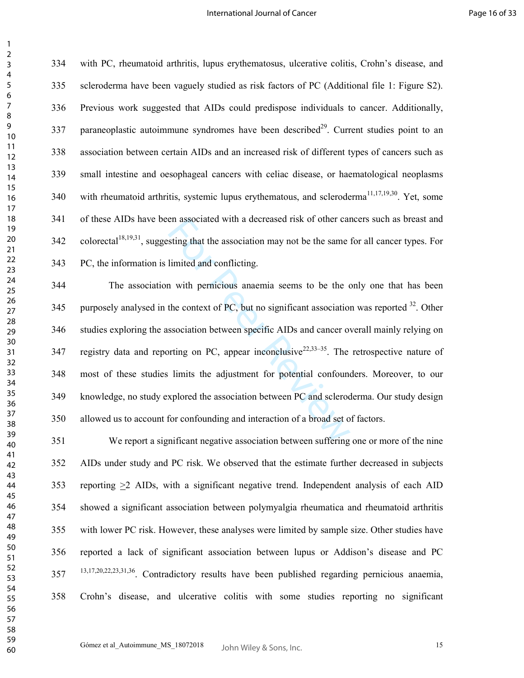334 with PC, rheumatoid arthritis, lupus erythematosus, ulcerative colitis, Crohn's disease, and 335 scleroderma have been vaguely studied as risk factors of PC (Additional file 1: Figure S2). 336 Previous work suggested that AIDs could predispose individuals to cancer. Additionally, 337 paraneoplastic autoimmune syndromes have been described<sup>29</sup>. Current studies point to an 338 association between certain AIDs and an increased risk of different types of cancers such as 339 small intestine and oesophageal cancers with celiac disease, or haematological neoplasms 340 with rheumatoid arthritis, systemic lupus erythematous, and scleroderma<sup>11,17,19,30</sup>. Yet, some 341 of these AIDs have been associated with a decreased risk of other cancers such as breast and colorectal<sup>18,19,31</sup>, suggesting that the association may not be the same for all cancer types. For 343 PC, the information is limited and conflicting.

en associated with a decreased risk of other car<br>sting that the association may not be the same<br>limited and conflicting.<br>
1 with pernicious anaemia seems to be the c<br>
the context of PC, but no significant association<br>
ssoc 344 The association with pernicious anaemia seems to be the only one that has been 345 purposely analysed in the context of PC, but no significant association was reported . Other 346 studies exploring the association between specific AIDs and cancer overall mainly relying on 347 registry data and reporting on PC, appear inconclusive  $2^{2,33-35}$ . The retrospective nature of 348 most of these studies limits the adjustment for potential confounders. Moreover, to our 349 knowledge, no study explored the association between PC and scleroderma. Our study design 350 allowed us to account for confounding and interaction of a broad set of factors.

351 We report a significant negative association between suffering one or more of the nine 352 AIDs under study and PC risk. We observed that the estimate further decreased in subjects 353 reporting >2 AIDs, with a significant negative trend. Independent analysis of each AID 354 showed a significant association between polymyalgia rheumatica and rheumatoid arthritis 355 with lower PC risk. However, these analyses were limited by sample size. Other studies have 356 reported a lack of significant association between lupus or Addison's disease and PC 13,17,20,22,23,31,36 357 . Contradictory results have been published regarding pernicious anaemia, 358 Crohn's disease, and ulcerative colitis with some studies reporting no significant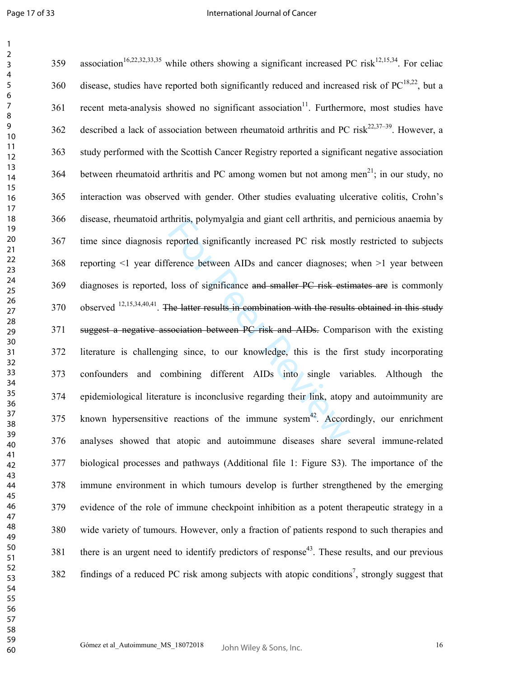| 1                              |  |
|--------------------------------|--|
| $\overline{c}$                 |  |
| 3                              |  |
| 4                              |  |
| 5                              |  |
| 6                              |  |
|                                |  |
|                                |  |
| 8                              |  |
| 9                              |  |
| 10                             |  |
| $\mathbf{1}$<br>1              |  |
| $\mathbf{1}$<br>$\overline{a}$ |  |
| 3<br>1                         |  |
| 4<br>1                         |  |
| 15                             |  |
| 16                             |  |
| 1                              |  |
| 18                             |  |
| 19                             |  |
|                                |  |
| 20                             |  |
| $\overline{21}$                |  |
| $^{22}$                        |  |
| 23                             |  |
| $\frac{24}{5}$                 |  |
| 25                             |  |
| 26                             |  |
| $\overline{2}$                 |  |
| 28                             |  |
| 29                             |  |
|                                |  |
| 30                             |  |
| $\overline{31}$                |  |
| $\overline{32}$                |  |
| 33                             |  |
| 34                             |  |
| 35                             |  |
| 36                             |  |
| 37                             |  |
| 38                             |  |
| 39                             |  |
| 40                             |  |
| 41                             |  |
| 42                             |  |
|                                |  |
| 43                             |  |
| 44                             |  |
| 45                             |  |
| 46                             |  |
| 47                             |  |
| 48                             |  |
| 49                             |  |
| 50                             |  |
| 51                             |  |
| 52                             |  |
| 53                             |  |
| 54                             |  |
|                                |  |
| 55                             |  |
| 56                             |  |
| 57                             |  |
| 58                             |  |
| 59                             |  |
| 60                             |  |

| 359 | association <sup>16,22,32,33,35</sup> while others showing a significant increased PC risk <sup>12,15,34</sup> . For celiac |
|-----|-----------------------------------------------------------------------------------------------------------------------------|
| 360 | disease, studies have reported both significantly reduced and increased risk of PC <sup>18,22</sup> , but a                 |
| 361 | recent meta-analysis showed no significant association <sup>11</sup> . Furthermore, most studies have                       |
| 362 | described a lack of association between rheumatoid arthritis and PC risk <sup>22,37–39</sup> . However, a                   |
| 363 | study performed with the Scottish Cancer Registry reported a significant negative association                               |
| 364 | between rheumatoid arthritis and PC among women but not among men <sup>21</sup> ; in our study, no                          |
| 365 | interaction was observed with gender. Other studies evaluating ulcerative colitis, Crohn's                                  |
| 366 | disease, rheumatoid arthritis, polymyalgia and giant cell arthritis, and pernicious anaemia by                              |
| 367 | time since diagnosis reported significantly increased PC risk mostly restricted to subjects                                 |
| 368 | reporting <1 year difference between AIDs and cancer diagnoses; when >1 year between                                        |
| 369 | diagnoses is reported, loss of significance and smaller PC risk estimates are is commonly                                   |
| 370 | observed $^{12,15,34,40,41}$ . The latter results in combination with the results obtained in this study                    |
| 371 | suggest a negative association between PC risk and AIDs. Comparison with the existing                                       |
| 372 | literature is challenging since, to our knowledge, this is the first study incorporating                                    |
| 373 | and combining different AIDs into single variables. Although the<br>confounders                                             |
| 374 | epidemiological literature is inconclusive regarding their link, atopy and autoimmunity are                                 |
| 375 | known hypersensitive reactions of the immune system <sup>42</sup> . Accordingly, our enrichment                             |
| 376 | analyses showed that atopic and autoimmune diseases share several immune-related                                            |
| 377 | biological processes and pathways (Additional file 1: Figure S3). The importance of the                                     |
| 378 | immune environment in which tumours develop is further strengthened by the emerging                                         |
| 379 | evidence of the role of immune checkpoint inhibition as a potent therapeutic strategy in a                                  |
| 380 | wide variety of tumours. However, only a fraction of patients respond to such therapies and                                 |
| 381 | there is an urgent need to identify predictors of response <sup>43</sup> . These results, and our previous                  |
| 382 | findings of a reduced PC risk among subjects with atopic conditions <sup>7</sup> , strongly suggest that                    |
|     |                                                                                                                             |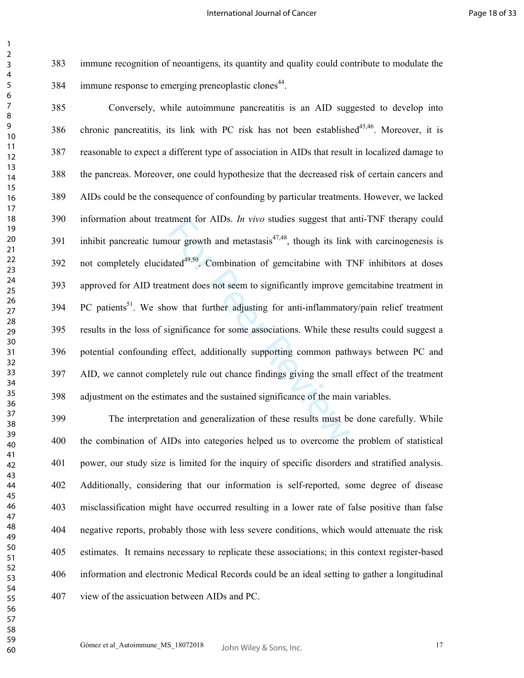> 383 immune recognition of neoantigens, its quantity and quality could contribute to modulate the 384 immune response to emerging preneoplastic clones<sup>44</sup>.

> tment for AIDs. *In vivo* studies suggest that a<br>our growth and metastasis<sup>47,48</sup>, though its link<br>ated<sup>49,50</sup>. Combination of gemeitabine with T<br>tment does not seem to significantly improve g<br>ow that further adjusting fo 385 Conversely, while autoimmune pancreatitis is an AID suggested to develop into 386 chronic pancreatitis, its link with PC risk has not been established<sup>45,46</sup>. Moreover, it is 387 reasonable to expect a different type of association in AIDs that result in localized damage to 388 the pancreas. Moreover, one could hypothesize that the decreased risk of certain cancers and 389 AIDs could be the consequence of confounding by particular treatments. However, we lacked 390 information about treatment for AIDs. *In vivo* studies suggest that anti-TNF therapy could 391 inhibit pancreatic tumour growth and metastasis<sup>47,48</sup>, though its link with carcinogenesis is 392 not completely elucidated<sup>49,50</sup>. Combination of gemcitabine with TNF inhibitors at doses 393 approved for AID treatment does not seem to significantly improve gemcitabine treatment in 394 PC patients<sup>51</sup>. We show that further adjusting for anti-inflammatory/pain relief treatment 395 results in the loss of significance for some associations. While these results could suggest a 396 potential confounding effect, additionally supporting common pathways between PC and 397 AID, we cannot completely rule out chance findings giving the small effect of the treatment 398 adjustment on the estimates and the sustained significance of the main variables.

> 399 The interpretation and generalization of these results must be done carefully. While 400 the combination of AIDs into categories helped us to overcome the problem of statistical 401 power, our study size is limited for the inquiry of specific disorders and stratified analysis. 402 Additionally, considering that our information is self-reported, some degree of disease 403 misclassification might have occurred resulting in a lower rate of false positive than false 404 negative reports, probably those with less severe conditions, which would attenuate the risk 405 estimates. It remains necessary to replicate these associations; in this context register-based 406 information and electronic Medical Records could be an ideal setting to gather a longitudinal 407 view of the assicuation between AIDs and PC.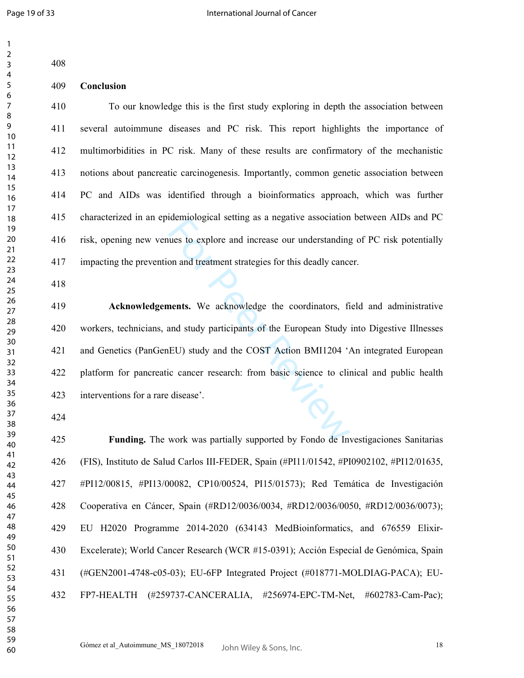| 408 |                                                                                             |
|-----|---------------------------------------------------------------------------------------------|
| 409 | Conclusion                                                                                  |
| 410 | To our knowledge this is the first study exploring in depth the association between         |
| 411 | several autoimmune diseases and PC risk. This report highlights the importance of           |
| 412 | multimorbidities in PC risk. Many of these results are confirmatory of the mechanistic      |
| 413 | notions about pancreatic carcinogenesis. Importantly, common genetic association between    |
| 414 | PC and AIDs was identified through a bioinformatics approach, which was further             |
| 415 | characterized in an epidemiological setting as a negative association between AIDs and PC   |
| 416 | risk, opening new venues to explore and increase our understanding of PC risk potentially   |
| 417 | impacting the prevention and treatment strategies for this deadly cancer.                   |
| 418 |                                                                                             |
| 419 | Acknowledgements. We acknowledge the coordinators, field and administrative                 |
| 420 | workers, technicians, and study participants of the European Study into Digestive Illnesses |
| 421 | and Genetics (PanGenEU) study and the COST Action BMI1204 'An integrated European           |
| 422 | platform for pancreatic cancer research: from basic science to clinical and public health   |
| 423 | interventions for a rare disease'.                                                          |
| 424 |                                                                                             |
| 425 | <b>Funding.</b> The work was partially supported by Fondo de Investigaciones Sanitarias     |
| 426 | (FIS), Instituto de Salud Carlos III-FEDER, Spain (#PI11/01542, #PI0902102, #PI12/01635,    |
| 427 | #PI12/00815, #PI13/00082, CP10/00524, PI15/01573); Red Temática de Investigación            |
| 428 | Cooperativa en Cáncer, Spain (#RD12/0036/0034, #RD12/0036/0050, #RD12/0036/0073);           |
| 429 | EU H2020 Programme 2014-2020 (634143 MedBioinformatics, and 676559 Elixir-                  |
| 430 | Excelerate); World Cancer Research (WCR #15-0391); Acción Especial de Genómica, Spain       |
| 431 | (#GEN2001-4748-c05-03); EU-6FP Integrated Project (#018771-MOLDIAG-PACA); EU-               |
| 432 | FP7-HEALTH (#259737-CANCERALIA, #256974-EPC-TM-Net, #602783-Cam-Pac);                       |
|     |                                                                                             |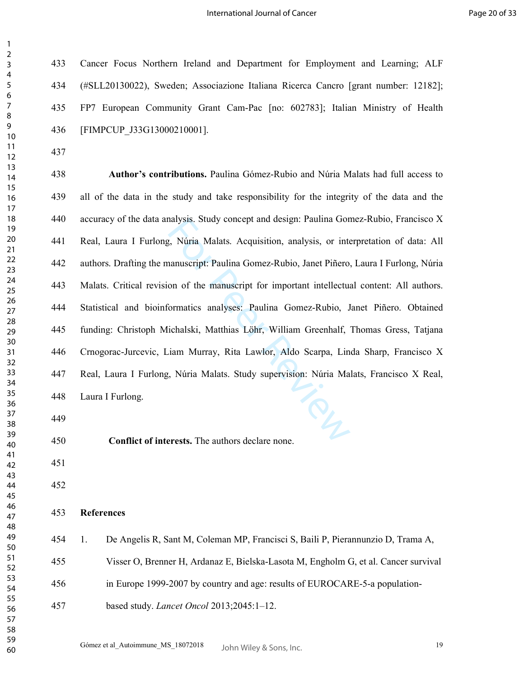433 Cancer Focus Northern Ireland and Department for Employment and Learning; ALF 434 (#SLL20130022), Sweden; Associazione Italiana Ricerca Cancro [grant number: 12182]; 435 FP7 European Community Grant Cam-Pac [no: 602783]; Italian Ministry of Health 436 [FIMPCUP\_J33G13000210001].

nalysis. Study concept and design: Paulina Gon<br>
1, Núria Malats. Acquisition, analysis, or inte<br>
1, Núria Malats. Acquisition, analysis, or inte<br>
1, and Piñero,<br>
1, on of the manuscript for important intellectual<br>
1, ichal **Author's contributions.** Paulina Gómez-Rubio and Núria Malats had full access to 439 all of the data in the study and take responsibility for the integrity of the data and the 440 accuracy of the data analysis. Study concept and design: Paulina Gomez-Rubio, Francisco X 441 Real, Laura I Furlong, Núria Malats. Acquisition, analysis, or interpretation of data: All 442 authors. Drafting the manuscript: Paulina Gomez-Rubio, Janet Piñero, Laura I Furlong, Núria 443 Malats. Critical revision of the manuscript for important intellectual content: All authors. 444 Statistical and bioinformatics analyses: Paulina Gomez-Rubio, Janet Piñero. Obtained 445 funding: Christoph Michalski, Matthias Löhr, William Greenhalf, Thomas Gress, Tatjana 446 Crnogorac-Jurcevic, Liam Murray, Rita Lawlor, Aldo Scarpa, Linda Sharp, Francisco X 447 Real, Laura I Furlong, Núria Malats. Study supervision: Núria Malats, Francisco X Real, 448 Laura I Furlong.

454 1. De Angelis R, Sant M, Coleman MP, Francisci S, Baili P, Pierannunzio D, Trama A,

455 Visser O, Brenner H, Ardanaz E, Bielska-Lasota M, Engholm G, et al. Cancer survival

456 in Europe 1999-2007 by country and age: results of EUROCARE-5-a population-

- 
- 

**References** 

**Conflict of interests.** The authors declare none.

- 
- 

457 based study. *Lancet Oncol* 2013;2045:1–12.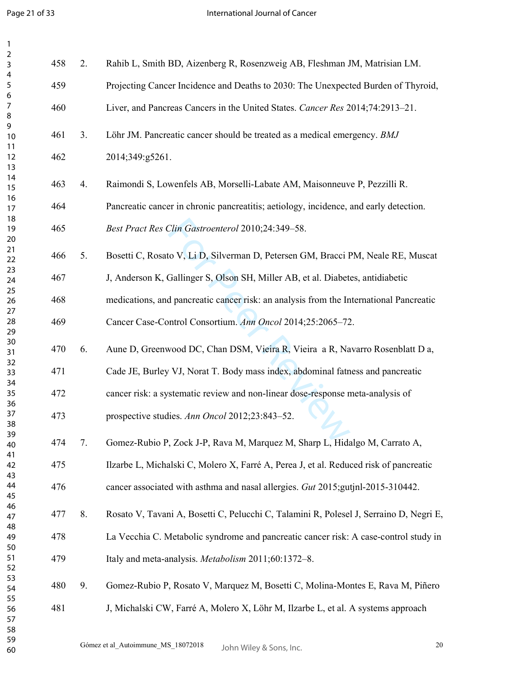| $\mathbf{1}$        |     |                |                                                                                        |
|---------------------|-----|----------------|----------------------------------------------------------------------------------------|
| $\overline{2}$<br>3 | 458 | 2.             | Rahib L, Smith BD, Aizenberg R, Rosenzweig AB, Fleshman JM, Matrisian LM.              |
| 4<br>5              | 459 |                | Projecting Cancer Incidence and Deaths to 2030: The Unexpected Burden of Thyroid,      |
| 6<br>$\overline{7}$ | 460 |                | Liver, and Pancreas Cancers in the United States. Cancer Res 2014;74:2913-21.          |
| 8<br>9<br>10        | 461 | 3 <sub>1</sub> | Löhr JM. Pancreatic cancer should be treated as a medical emergency. BMJ               |
| 11<br>12            | 462 |                | 2014;349:g5261.                                                                        |
| 13                  |     |                |                                                                                        |
| 14<br>15            | 463 | 4.             | Raimondi S, Lowenfels AB, Morselli-Labate AM, Maisonneuve P, Pezzilli R.               |
| 16<br>17            | 464 |                | Pancreatic cancer in chronic pancreatitis; aetiology, incidence, and early detection.  |
| 18<br>19<br>20      | 465 |                | Best Pract Res Clin Gastroenterol 2010;24:349-58.                                      |
| 21<br>22            | 466 | 5.             | Bosetti C, Rosato V, Li D, Silverman D, Petersen GM, Bracci PM, Neale RE, Muscat       |
| 23<br>24            | 467 |                | J, Anderson K, Gallinger S, Olson SH, Miller AB, et al. Diabetes, antidiabetic         |
| 25<br>26            | 468 |                | medications, and pancreatic cancer risk: an analysis from the International Pancreatic |
| 27<br>28<br>29      | 469 |                | Cancer Case-Control Consortium. Ann Oncol 2014;25:2065-72.                             |
| 30<br>31            | 470 | 6.             | Aune D, Greenwood DC, Chan DSM, Vieira R, Vieira a R, Navarro Rosenblatt D a,          |
| 32<br>33            | 471 |                | Cade JE, Burley VJ, Norat T. Body mass index, abdominal fatness and pancreatic         |
| 34<br>35<br>36      | 472 |                | cancer risk: a systematic review and non-linear dose-response meta-analysis of         |
| 37<br>38            | 473 |                | prospective studies. Ann Oncol 2012;23:843-52.                                         |
| 39<br>40            | 474 | 7.             | Gomez-Rubio P, Zock J-P, Rava M, Marquez M, Sharp L, Hidalgo M, Carrato A,             |
| 41<br>42            | 475 |                | Ilzarbe L, Michalski C, Molero X, Farré A, Perea J, et al. Reduced risk of pancreatic  |
| 43<br>44<br>45      | 476 |                | cancer associated with asthma and nasal allergies. Gut 2015; gut inl-2015-310442.      |
| 46<br>47            | 477 | 8.             | Rosato V, Tavani A, Bosetti C, Pelucchi C, Talamini R, Polesel J, Serraino D, Negri E, |
| 48<br>49            | 478 |                | La Vecchia C. Metabolic syndrome and pancreatic cancer risk: A case-control study in   |
| 50<br>51            | 479 |                | Italy and meta-analysis. Metabolism 2011;60:1372-8.                                    |
| 52<br>53<br>54      | 480 | 9.             | Gomez-Rubio P, Rosato V, Marquez M, Bosetti C, Molina-Montes E, Rava M, Piñero         |
| 55                  | 481 |                |                                                                                        |
| 56<br>57            |     |                | J, Michalski CW, Farré A, Molero X, Löhr M, Ilzarbe L, et al. A systems approach       |
| 58<br>59            |     |                | Gómez et al_Autoimmune_MS_18072018<br>$20\,$                                           |
| 60                  |     |                | John Wiley & Sons, Inc.                                                                |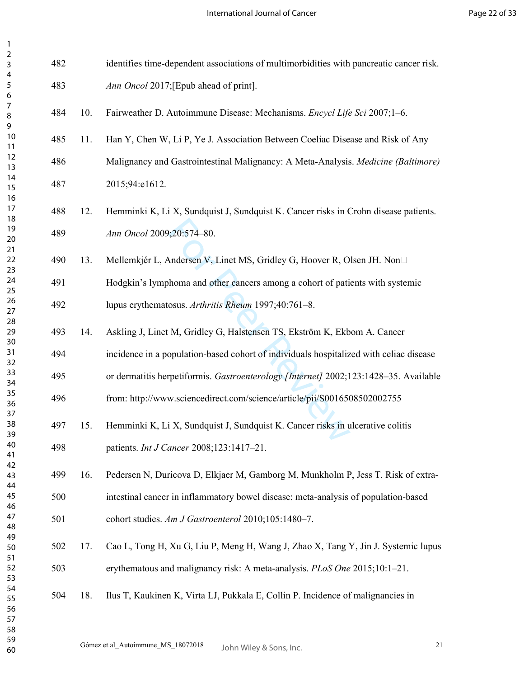| 482 |     | identifies time-dependent associations of multimorbidities with pancreatic cancer risk. |
|-----|-----|-----------------------------------------------------------------------------------------|
| 483 |     | Ann Oncol 2017; [Epub ahead of print].                                                  |
| 484 | 10. | Fairweather D. Autoimmune Disease: Mechanisms. Encycl Life Sci 2007;1-6.                |
| 485 | 11. | Han Y, Chen W, Li P, Ye J. Association Between Coeliac Disease and Risk of Any          |
| 486 |     | Malignancy and Gastrointestinal Malignancy: A Meta-Analysis. Medicine (Baltimore)       |
| 487 |     | 2015;94:e1612.                                                                          |
| 488 | 12. | Hemminki K, Li X, Sundquist J, Sundquist K. Cancer risks in Crohn disease patients.     |
| 489 |     | Ann Oncol 2009;20:574-80.                                                               |
| 490 | 13. | Mellemkjér L, Andersen V, Linet MS, Gridley G, Hoover R, Olsen JH. Non□                 |
| 491 |     | Hodgkin's lymphoma and other cancers among a cohort of patients with systemic           |
| 492 |     | lupus erythematosus. Arthritis Rheum 1997;40:761-8.                                     |
| 493 | 14. | Askling J, Linet M, Gridley G, Halstensen TS, Ekström K, Ekbom A. Cancer                |
| 494 |     | incidence in a population-based cohort of individuals hospitalized with celiac disease  |
| 495 |     | or dermatitis herpetiformis. Gastroenterology [Internet] 2002;123:1428-35. Available    |
| 496 |     | from: http://www.sciencedirect.com/science/article/pii/S0016508502002755                |
| 497 | 15. | Hemminki K, Li X, Sundquist J, Sundquist K. Cancer risks in ulcerative colitis          |
| 498 |     | patients. Int J Cancer 2008;123:1417-21.                                                |
| 499 | 16. | Pedersen N, Duricova D, Elkjaer M, Gamborg M, Munkholm P, Jess T. Risk of extra-        |
| 500 |     | intestinal cancer in inflammatory bowel disease: meta-analysis of population-based      |
| 501 |     | cohort studies. Am J Gastroenterol 2010;105:1480-7.                                     |
| 502 | 17. | Cao L, Tong H, Xu G, Liu P, Meng H, Wang J, Zhao X, Tang Y, Jin J. Systemic lupus       |
| 503 |     | erythematous and malignancy risk: A meta-analysis. PLoS One 2015;10:1-21.               |
| 504 | 18. | Ilus T, Kaukinen K, Virta LJ, Pukkala E, Collin P. Incidence of malignancies in         |
|     |     |                                                                                         |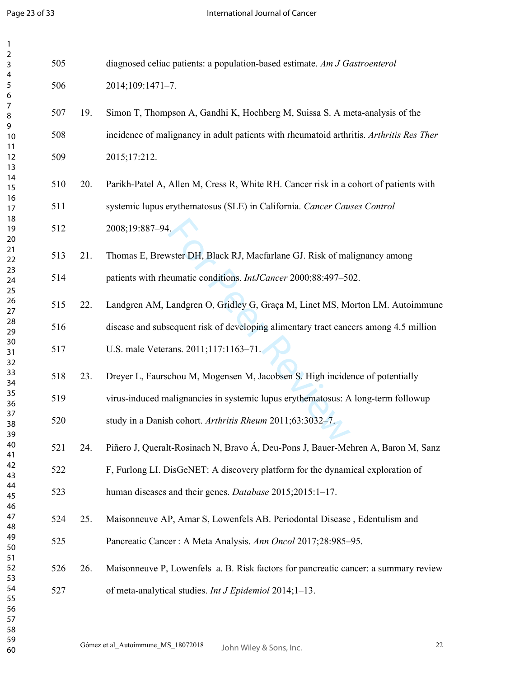| $\mathbf{1}$               |     |     |                                                                                         |
|----------------------------|-----|-----|-----------------------------------------------------------------------------------------|
| $\overline{c}$<br>3        | 505 |     | diagnosed celiac patients: a population-based estimate. Am J Gastroenterol              |
| 4<br>5<br>6                | 506 |     | 2014;109:1471-7.                                                                        |
| 7<br>8<br>9                | 507 | 19. | Simon T, Thompson A, Gandhi K, Hochberg M, Suissa S. A meta-analysis of the             |
| 10<br>11                   | 508 |     | incidence of malignancy in adult patients with rheumatoid arthritis. Arthritis Res Ther |
| 12<br>13                   | 509 |     | 2015;17:212.                                                                            |
| 14<br>15                   | 510 | 20. | Parikh-Patel A, Allen M, Cress R, White RH. Cancer risk in a cohort of patients with    |
| 16<br>17<br>18             | 511 |     | systemic lupus erythematosus (SLE) in California. Cancer Causes Control                 |
| 19<br>20                   | 512 |     | 2008;19:887-94.                                                                         |
| 21<br>22                   | 513 | 21. | Thomas E, Brewster DH, Black RJ, Macfarlane GJ. Risk of malignancy among                |
| 23<br>24<br>25             | 514 |     | patients with rheumatic conditions. IntJCancer 2000;88:497-502.                         |
| 26<br>27                   | 515 | 22. | Landgren AM, Landgren O, Gridley G, Graça M, Linet MS, Morton LM. Autoimmune            |
| 28<br>29                   | 516 |     | disease and subsequent risk of developing alimentary tract cancers among 4.5 million    |
| 30<br>31<br>32             | 517 |     | U.S. male Veterans. 2011;117:1163-71.                                                   |
| 33<br>34                   | 518 | 23. | Dreyer L, Faurschou M, Mogensen M, Jacobsen S. High incidence of potentially            |
| 35<br>36                   | 519 |     | virus-induced malignancies in systemic lupus erythematosus: A long-term followup        |
| 37<br>38<br>39             | 520 |     | study in a Danish cohort. Arthritis Rheum 2011;63:3032-7.                               |
| 40<br>41                   | 521 | 24. | Piñero J, Queralt-Rosinach N, Bravo Á, Deu-Pons J, Bauer-Mehren A, Baron M, Sanz        |
| 42<br>43                   | 522 |     | F, Furlong LI. DisGeNET: A discovery platform for the dynamical exploration of          |
| 44<br>45<br>46             | 523 |     | human diseases and their genes. Database 2015;2015:1-17.                                |
| 47<br>48                   | 524 | 25. | Maisonneuve AP, Amar S, Lowenfels AB. Periodontal Disease, Edentulism and               |
| 49<br>50                   | 525 |     | Pancreatic Cancer: A Meta Analysis. Ann Oncol 2017;28:985-95.                           |
| 51<br>52<br>53             | 526 | 26. | Maisonneuve P, Lowenfels a. B. Risk factors for pancreatic cancer: a summary review     |
| 54<br>55<br>56<br>57<br>58 | 527 |     | of meta-analytical studies. Int J Epidemiol 2014;1-13.                                  |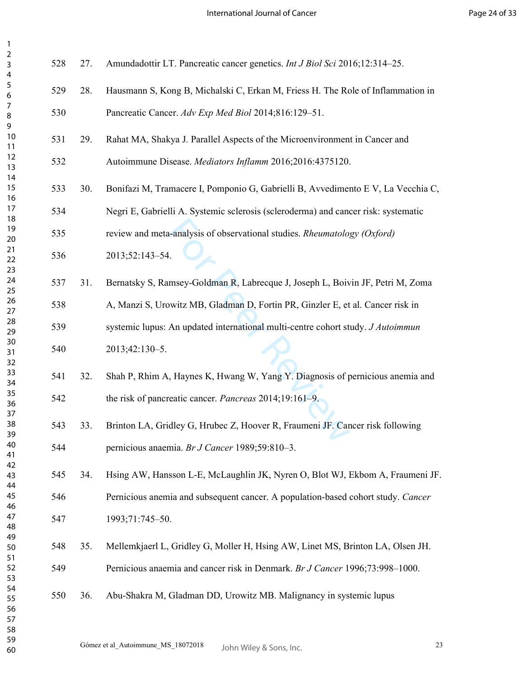International Journal of Cancer

Page 24 of 33

| 3<br>4                     | 528 | 27. | Amundadottir LT. Pancreatic cancer genetics. Int J Biol Sci 2016;12:314-25.        |    |
|----------------------------|-----|-----|------------------------------------------------------------------------------------|----|
| 5<br>6                     | 529 | 28. | Hausmann S, Kong B, Michalski C, Erkan M, Friess H. The Role of Inflammation in    |    |
| $\boldsymbol{7}$<br>8<br>9 | 530 |     | Pancreatic Cancer. Adv Exp Med Biol 2014;816:129-51.                               |    |
| 10<br>11                   | 531 | 29. | Rahat MA, Shakya J. Parallel Aspects of the Microenvironment in Cancer and         |    |
| 12<br>13                   | 532 |     | Autoimmune Disease. Mediators Inflamm 2016;2016:4375120.                           |    |
| 14<br>15<br>16             | 533 | 30. | Bonifazi M, Tramacere I, Pomponio G, Gabrielli B, Avvedimento E V, La Vecchia C,   |    |
| 17<br>18                   | 534 |     | Negri E, Gabrielli A. Systemic sclerosis (scleroderma) and cancer risk: systematic |    |
| 19<br>20                   | 535 |     | review and meta-analysis of observational studies. Rheumatology (Oxford)           |    |
| 21<br>22<br>23             | 536 |     | 2013;52:143-54.                                                                    |    |
| 24<br>25                   | 537 | 31. | Bernatsky S, Ramsey-Goldman R, Labrecque J, Joseph L, Boivin JF, Petri M, Zoma     |    |
| 26<br>27                   | 538 |     | A, Manzi S, Urowitz MB, Gladman D, Fortin PR, Ginzler E, et al. Cancer risk in     |    |
| 28<br>29                   | 539 |     | systemic lupus: An updated international multi-centre cohort study. J Autoimmun    |    |
| 30<br>31<br>32             | 540 |     | 2013;42:130-5.                                                                     |    |
| 33<br>34                   | 541 | 32. | Shah P, Rhim A, Haynes K, Hwang W, Yang Y. Diagnosis of pernicious anemia and      |    |
| 35<br>36<br>37             | 542 |     | the risk of pancreatic cancer. Pancreas 2014;19:161-9.                             |    |
| 38<br>39                   | 543 | 33. | Brinton LA, Gridley G, Hrubec Z, Hoover R, Fraumeni JF. Cancer risk following      |    |
| 40<br>41                   | 544 |     | pernicious anaemia. Br J Cancer 1989;59:810-3.                                     |    |
| 42<br>43                   | 545 | 34. | Hsing AW, Hansson L-E, McLaughlin JK, Nyren O, Blot WJ, Ekbom A, Fraumeni JF.      |    |
| 44<br>45<br>46             | 546 |     | Pernicious anemia and subsequent cancer. A population-based cohort study. Cancer   |    |
| 47<br>48                   | 547 |     | 1993;71:745-50.                                                                    |    |
| 49<br>50                   | 548 | 35. | Mellemkjaerl L, Gridley G, Moller H, Hsing AW, Linet MS, Brinton LA, Olsen JH.     |    |
| 51<br>52<br>53             | 549 |     | Pernicious anaemia and cancer risk in Denmark. Br J Cancer 1996;73:998-1000.       |    |
| 54<br>55<br>56<br>57       | 550 | 36. | Abu-Shakra M, Gladman DD, Urowitz MB. Malignancy in systemic lupus                 |    |
| 58<br>59<br>60             |     |     | Gómez et al_Autoimmune_MS_18072018<br>John Wiley & Sons, Inc.                      | 23 |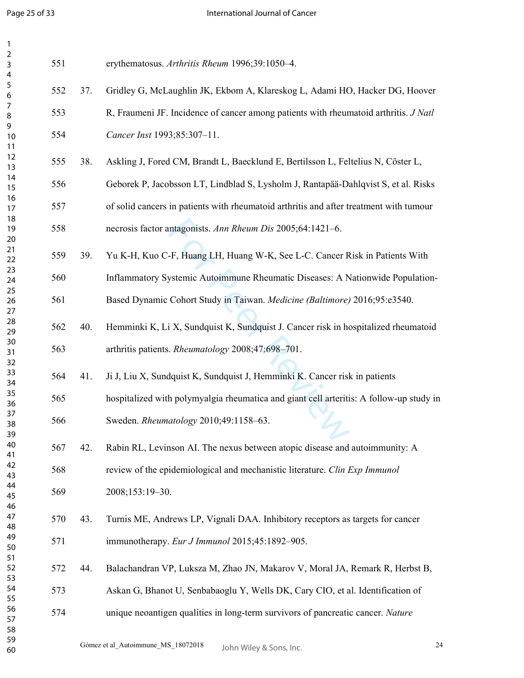| $\mathbf{1}$             |     |     |                                                                                         |    |
|--------------------------|-----|-----|-----------------------------------------------------------------------------------------|----|
| $\overline{c}$<br>3<br>4 | 551 |     | erythematosus. Arthritis Rheum 1996;39:1050-4.                                          |    |
| 5<br>6                   | 552 | 37. | Gridley G, McLaughlin JK, Ekbom A, Klareskog L, Adami HO, Hacker DG, Hoover             |    |
| 7<br>8                   | 553 |     | R, Fraumeni JF. Incidence of cancer among patients with rheumatoid arthritis. J Natl    |    |
| 9<br>10<br>11            | 554 |     | Cancer Inst 1993;85:307-11.                                                             |    |
| 12<br>13                 | 555 | 38. | Askling J, Fored CM, Brandt L, Baecklund E, Bertilsson L, Feltelius N, Cöster L,        |    |
| 14<br>15                 | 556 |     | Geborek P, Jacobsson LT, Lindblad S, Lysholm J, Rantapää-Dahlqvist S, et al. Risks      |    |
| 16<br>17<br>18           | 557 |     | of solid cancers in patients with rheumatoid arthritis and after treatment with tumour  |    |
| 19<br>20                 | 558 |     | necrosis factor antagonists. Ann Rheum Dis 2005;64:1421-6.                              |    |
| 21<br>22                 | 559 | 39. | Yu K-H, Kuo C-F, Huang LH, Huang W-K, See L-C. Cancer Risk in Patients With             |    |
| 23<br>24                 | 560 |     | Inflammatory Systemic Autoimmune Rheumatic Diseases: A Nationwide Population-           |    |
| 25<br>26<br>27           | 561 |     | Based Dynamic Cohort Study in Taiwan. Medicine (Baltimore) 2016;95:e3540.               |    |
| 28<br>29                 | 562 | 40. | Hemminki K, Li X, Sundquist K, Sundquist J. Cancer risk in hospitalized rheumatoid      |    |
| 30<br>31                 | 563 |     | arthritis patients. Rheumatology 2008;47:698-701.                                       |    |
| 32<br>33<br>34           | 564 | 41. | Ji J, Liu X, Sundquist K, Sundquist J, Hemminki K. Cancer risk in patients              |    |
| 35<br>36                 | 565 |     | hospitalized with polymyalgia rheumatica and giant cell arteritis: A follow-up study in |    |
| 37<br>38                 | 566 |     | Sweden. Rheumatology 2010;49:1158-63.                                                   |    |
| 39<br>40<br>41           | 567 | 42. | Rabin RL, Levinson AI. The nexus between atopic disease and autoimmunity: A             |    |
| 42<br>43                 | 568 |     | review of the epidemiological and mechanistic literature. Clin Exp Immunol              |    |
| 44<br>45<br>46           | 569 |     | 2008;153:19-30.                                                                         |    |
| 47<br>48                 | 570 | 43. | Turnis ME, Andrews LP, Vignali DAA. Inhibitory receptors as targets for cancer          |    |
| 49<br>50                 | 571 |     | immunotherapy. Eur J Immunol 2015;45:1892-905.                                          |    |
| 51<br>52<br>53           | 572 | 44. | Balachandran VP, Luksza M, Zhao JN, Makarov V, Moral JA, Remark R, Herbst B,            |    |
| 54<br>55                 | 573 |     | Askan G, Bhanot U, Senbabaoglu Y, Wells DK, Cary CIO, et al. Identification of          |    |
| 56<br>57<br>58           | 574 |     | unique neoantigen qualities in long-term survivors of pancreatic cancer. Nature         |    |
| 59<br>60                 |     |     | Gómez et al_Autoimmune_MS_18072018<br>John Wiley & Sons, Inc.                           | 24 |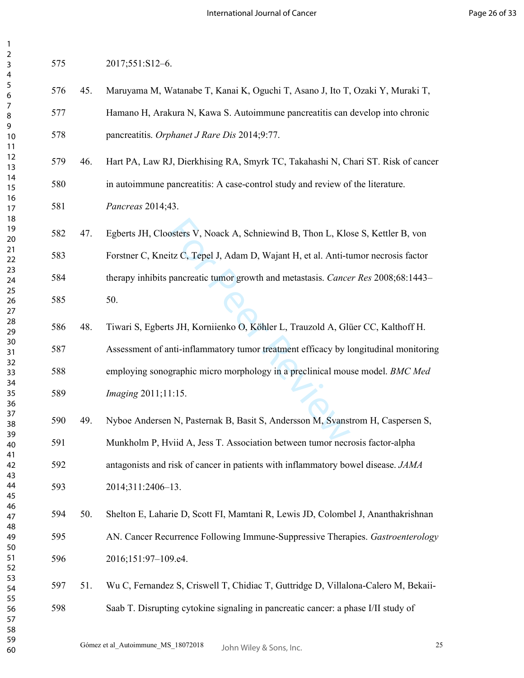| ۷<br>3<br>4                 | 575 |     | 2017;551:S12-6.                                                                     |
|-----------------------------|-----|-----|-------------------------------------------------------------------------------------|
| 5<br>6                      | 576 | 45. | Maruyama M, Watanabe T, Kanai K, Oguchi T, Asano J, Ito T, Ozaki Y, Muraki T,       |
| 7<br>8                      | 577 |     | Hamano H, Arakura N, Kawa S. Autoimmune pancreatitis can develop into chronic       |
| 9<br>10<br>11               | 578 |     | pancreatitis. Orphanet J Rare Dis 2014;9:77.                                        |
| 12<br>13                    | 579 | 46. | Hart PA, Law RJ, Dierkhising RA, Smyrk TC, Takahashi N, Chari ST. Risk of cancer    |
| 14<br>15                    | 580 |     | in autoimmune pancreatitis: A case-control study and review of the literature.      |
| 16<br>17<br>18              | 581 |     | Pancreas 2014;43.                                                                   |
| 19<br>20                    | 582 | 47. | Egberts JH, Cloosters V, Noack A, Schniewind B, Thon L, Klose S, Kettler B, von     |
| 21<br>22                    | 583 |     | Forstner C, Kneitz C, Tepel J, Adam D, Wajant H, et al. Anti-tumor necrosis factor  |
| 23<br>24<br>25              | 584 |     | therapy inhibits pancreatic tumor growth and metastasis. Cancer Res 2008;68:1443-   |
| 26<br>27                    | 585 |     | 50.                                                                                 |
| 28<br>29                    | 586 | 48. | Tiwari S, Egberts JH, Korniienko O, Köhler L, Trauzold A, Glüer CC, Kalthoff H.     |
| 30<br>31<br>32              | 587 |     | Assessment of anti-inflammatory tumor treatment efficacy by longitudinal monitoring |
| 33<br>34                    | 588 |     | employing sonographic micro morphology in a preclinical mouse model. BMC Med        |
| 35<br>36                    | 589 |     | <i>Imaging</i> 2011;11:15.                                                          |
| 37<br>38<br>39              | 590 | 49. | Nyboe Andersen N, Pasternak B, Basit S, Andersson M, Svanstrom H, Caspersen S,      |
| 40<br>41                    | 591 |     | Munkholm P, Hviid A, Jess T. Association between tumor necrosis factor-alpha        |
| 42<br>43                    | 592 |     | antagonists and risk of cancer in patients with inflammatory bowel disease. JAMA    |
| 44<br>45                    | 593 |     | 2014;311:2406-13.                                                                   |
| 46<br>47<br>48              | 594 | 50. | Shelton E, Laharie D, Scott FI, Mamtani R, Lewis JD, Colombel J, Ananthakrishnan    |
| 49<br>50                    | 595 |     | AN. Cancer Recurrence Following Immune-Suppressive Therapies. Gastroenterology      |
| 51<br>52                    | 596 |     | 2016;151:97-109.e4.                                                                 |
| 53<br>54                    | 597 | 51. | Wu C, Fernandez S, Criswell T, Chidiac T, Guttridge D, Villalona-Calero M, Bekaii-  |
| 55<br>56<br>57<br>58<br>r o | 598 |     | Saab T. Disrupting cytokine signaling in pancreatic cancer: a phase I/II study of   |

> Gómez et al\_Autoimmune\_MS\_18072018  $\frac{10 \text{ h}}{25}$ John Wiley & Sons, Inc.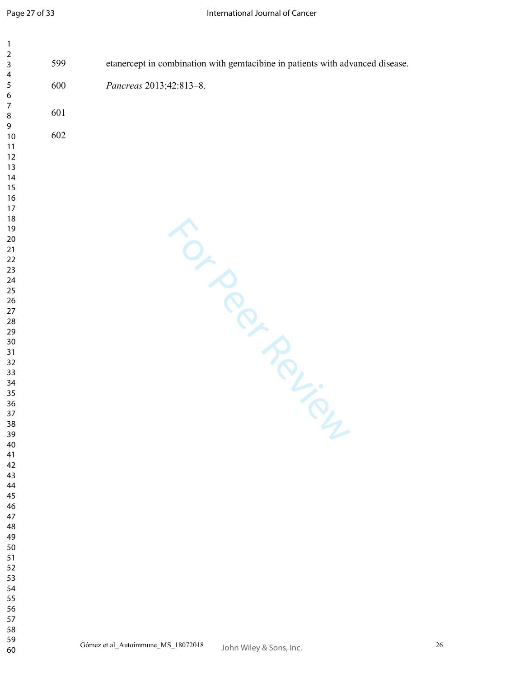| $\mathbf{1}$          |     |                                                                               |    |
|-----------------------|-----|-------------------------------------------------------------------------------|----|
| $\mathbf 2$<br>3      | 599 | etanercept in combination with gemtacibine in patients with advanced disease. |    |
| 4<br>$\sqrt{5}$       | 600 | Pancreas 2013;42:813-8.                                                       |    |
| 6<br>$\boldsymbol{7}$ | 601 |                                                                               |    |
| $\, 8$<br>9           |     |                                                                               |    |
| 10<br>11              | 602 |                                                                               |    |
| 12<br>13              |     |                                                                               |    |
| 14<br>15              |     |                                                                               |    |
| 16<br>17              |     |                                                                               |    |
| 18<br>19              |     |                                                                               |    |
| 20<br>$21$            |     |                                                                               |    |
| 22<br>23              |     |                                                                               |    |
| 24<br>25              |     |                                                                               |    |
| 26<br>27              |     |                                                                               |    |
| 28<br>29              |     |                                                                               |    |
| 30<br>31              |     | FOTO POLICIN                                                                  |    |
| 32<br>33              |     |                                                                               |    |
| 34<br>35              |     |                                                                               |    |
| 36<br>37              |     |                                                                               |    |
| 38<br>39              |     |                                                                               |    |
| 40<br>41              |     |                                                                               |    |
| 42<br>43              |     |                                                                               |    |
| 44<br>45              |     |                                                                               |    |
| 46<br>47              |     |                                                                               |    |
| 48<br>49              |     |                                                                               |    |
| 50<br>51              |     |                                                                               |    |
| 52<br>53              |     |                                                                               |    |
| 54<br>55              |     |                                                                               |    |
| 56<br>57              |     |                                                                               |    |
| 58<br>59              |     |                                                                               | 26 |
| 60                    |     | Gómez et al_Autoimmune_MS_18072018<br>John Wiley & Sons, Inc.                 |    |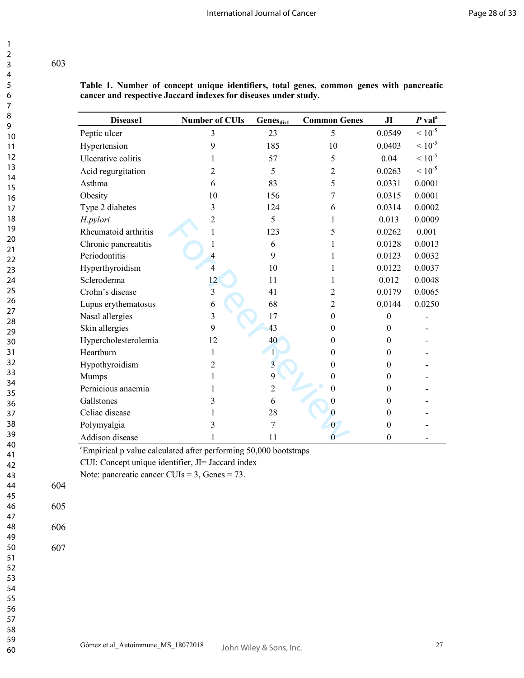**Table 1. Number of concept unique identifiers, total genes, common genes with pancreatic cancer and respective Jaccard indexes for diseases under study.**

| <b>Disease1</b>      | <b>Number of CUIs</b> | Genes <sub>dis1</sub> | <b>Common Genes</b> | J <sub>I</sub>   | $P$ val <sup>a</sup> |
|----------------------|-----------------------|-----------------------|---------------------|------------------|----------------------|
| Peptic ulcer         | 3                     | 23                    | 5                   | 0.0549           | $\leq 10^{-5}$       |
| Hypertension         | 9                     | 185                   | 10                  | 0.0403           | $< 10^{-5}$          |
| Ulcerative colitis   |                       | 57                    | 5                   | 0.04             | $< 10^{-5}$          |
| Acid regurgitation   | 2                     | 5                     | 2                   | 0.0263           | $< 10^{-5}$          |
| Asthma               | 6                     | 83                    | 5                   | 0.0331           | 0.0001               |
| Obesity              | 10                    | 156                   |                     | 0.0315           | 0.0001               |
| Type 2 diabetes      | 3                     | 124                   | 6                   | 0.0314           | 0.0002               |
| H.pylori             | 2                     | 5                     |                     | 0.013            | 0.0009               |
| Rheumatoid arthritis |                       | 123                   | 5                   | 0.0262           | 0.001                |
| Chronic pancreatitis |                       | 6                     |                     | 0.0128           | 0.0013               |
| Periodontitis        |                       | 9                     |                     | 0.0123           | 0.0032               |
| Hyperthyroidism      | 4                     | 10                    |                     | 0.0122           | 0.0037               |
| Scleroderma          | 12                    | 11                    |                     | 0.012            | 0.0048               |
| Crohn's disease      | 3                     | 41                    | 2                   | 0.0179           | 0.0065               |
| Lupus erythematosus  | 6                     | 68                    | 2                   | 0.0144           | 0.0250               |
| Nasal allergies      | 3                     | 17                    | $\theta$            | $\theta$         |                      |
| Skin allergies       | 9                     | 43                    | 0                   | $\theta$         |                      |
| Hypercholesterolemia | 12                    | 40                    | $\Omega$            | $\theta$         |                      |
| Heartburn            | 1                     | 1                     | 0                   | $\theta$         |                      |
| Hypothyroidism       | 2                     | 3                     | 0                   | $\theta$         |                      |
| Mumps                |                       | 9                     | 0                   | $\Omega$         |                      |
| Pernicious anaemia   |                       | $\overline{2}$        | 0                   | $\theta$         |                      |
| Gallstones           |                       | 6                     |                     | $\theta$         |                      |
| Celiac disease       |                       | 28                    | 0                   | $\theta$         |                      |
| Polymyalgia          |                       | 7                     | $\bf{0}$            | $\mathbf{0}$     |                      |
| Addison disease      |                       | 11                    |                     | $\boldsymbol{0}$ |                      |

<sup>a</sup>Empirical p value calculated after performing 50,000 bootstraps

CUI: Concept unique identifier, JI= Jaccard index

Note: pancreatic cancer CUIs = 3, Genes = 73.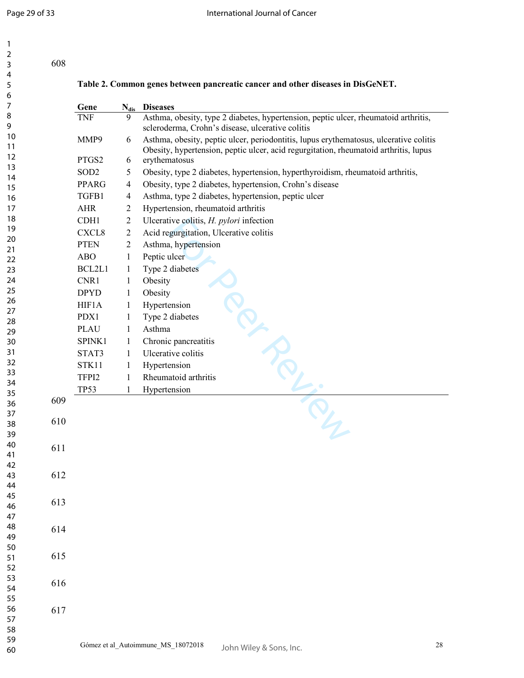|     |                  |                | Table 2. Common genes between pancreatic cancer and other diseases in DisGeNET.                                                                                               |
|-----|------------------|----------------|-------------------------------------------------------------------------------------------------------------------------------------------------------------------------------|
|     | Gene             | $N_{dis}$      | <b>Diseases</b>                                                                                                                                                               |
|     | <b>TNF</b>       | 9              | Asthma, obesity, type 2 diabetes, hypertension, peptic ulcer, rheumatoid arthritis,<br>scleroderma, Crohn's disease, ulcerative colitis                                       |
|     | MMP9             | 6              | Asthma, obesity, peptic ulcer, periodontitis, lupus erythematosus, ulcerative colitis<br>Obesity, hypertension, peptic ulcer, acid regurgitation, rheumatoid arthritis, lupus |
|     | PTGS2            | 6              | erythematosus                                                                                                                                                                 |
|     | SOD <sub>2</sub> | 5              | Obesity, type 2 diabetes, hypertension, hyperthyroidism, rheumatoid arthritis,                                                                                                |
|     | <b>PPARG</b>     | 4              | Obesity, type 2 diabetes, hypertension, Crohn's disease                                                                                                                       |
|     | TGFB1            | 4              | Asthma, type 2 diabetes, hypertension, peptic ulcer                                                                                                                           |
|     | <b>AHR</b>       | 2              | Hypertension, rheumatoid arthritis                                                                                                                                            |
|     | CDH1             | $\overline{c}$ | Ulcerative colitis, H. pylori infection                                                                                                                                       |
|     | CXCL8            | $\overline{2}$ | Acid regurgitation, Ulcerative colitis                                                                                                                                        |
|     | <b>PTEN</b>      | 2              | Asthma, hypertension                                                                                                                                                          |
|     | <b>ABO</b>       | $\mathbf{1}$   | Peptic ulcer                                                                                                                                                                  |
|     | BCL2L1           | $\mathbf{1}$   | Type 2 diabetes                                                                                                                                                               |
|     | CNR1             | 1              | Obesity                                                                                                                                                                       |
|     | <b>DPYD</b>      | 1              | Obesity                                                                                                                                                                       |
|     | HIF1A            | $\mathbf{1}$   | Hypertension                                                                                                                                                                  |
|     | PDX1             | 1              | Type 2 diabetes                                                                                                                                                               |
|     | <b>PLAU</b>      | 1              | Asthma                                                                                                                                                                        |
|     | SPINK1           | 1              | Chronic pancreatitis                                                                                                                                                          |
|     | STAT3            | 1              | Ulcerative colitis                                                                                                                                                            |
|     | STK11            | 1              | Hypertension                                                                                                                                                                  |
|     | TFPI2            | 1              | Rheumatoid arthritis                                                                                                                                                          |
|     | <b>TP53</b>      | 1              | Hypertension                                                                                                                                                                  |
| 609 |                  |                |                                                                                                                                                                               |
|     |                  |                |                                                                                                                                                                               |
| 610 |                  |                | $\boldsymbol{\mathcal{P}}$                                                                                                                                                    |
|     |                  |                |                                                                                                                                                                               |
| 611 |                  |                |                                                                                                                                                                               |
|     |                  |                |                                                                                                                                                                               |
| 612 |                  |                |                                                                                                                                                                               |
|     |                  |                |                                                                                                                                                                               |
| 613 |                  |                |                                                                                                                                                                               |
|     |                  |                |                                                                                                                                                                               |
|     |                  |                |                                                                                                                                                                               |
| 614 |                  |                |                                                                                                                                                                               |
|     |                  |                |                                                                                                                                                                               |
| 615 |                  |                |                                                                                                                                                                               |
|     |                  |                |                                                                                                                                                                               |
| 616 |                  |                |                                                                                                                                                                               |
|     |                  |                |                                                                                                                                                                               |
| 617 |                  |                |                                                                                                                                                                               |
|     |                  |                |                                                                                                                                                                               |
|     |                  |                |                                                                                                                                                                               |
|     |                  |                | Gómez et al_Autoimmune_MS_18072018<br>John Wiley & Sons, Inc.                                                                                                                 |
|     |                  |                |                                                                                                                                                                               |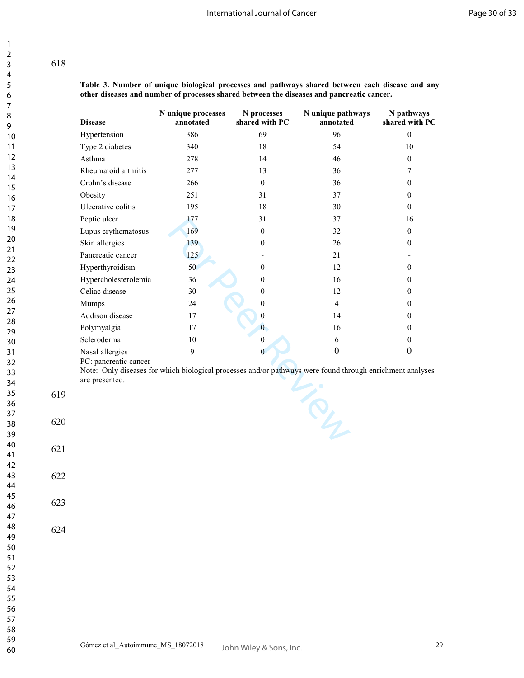**Table 3. Number of unique biological processes and pathways shared between each disease and any other diseases and number of processes shared between the diseases and pancreatic cancer.** 

|                          | <b>Disease</b>       | N unique processes<br>annotated | N processes<br>shared with PC | N unique pathways<br>annotated | N pathways<br>shared with PC |
|--------------------------|----------------------|---------------------------------|-------------------------------|--------------------------------|------------------------------|
|                          | Hypertension         | 386                             | 69                            | 96                             | $\boldsymbol{0}$             |
|                          | Type 2 diabetes      | 340                             | $18\,$                        | 54                             | 10                           |
|                          | Asthma               | 278                             | 14                            | 46                             | $\boldsymbol{0}$             |
|                          | Rheumatoid arthritis | 277                             | 13                            | 36                             | 7                            |
|                          | Crohn's disease      | 266                             | $\boldsymbol{0}$              | 36                             | $\overline{0}$               |
|                          | Obesity              | 251                             | 31                            | 37                             | $\boldsymbol{0}$             |
|                          | Ulcerative colitis   | 195                             | 18                            | 30                             | $\boldsymbol{0}$             |
|                          | Peptic ulcer         | 177                             | 31                            | 37                             | 16                           |
|                          | Lupus erythematosus  | 169                             | $\boldsymbol{0}$              | 32                             | $\overline{0}$               |
|                          | Skin allergies       | 139                             | 0                             | 26                             | $\boldsymbol{0}$             |
|                          | Pancreatic cancer    | 125                             |                               | 21                             |                              |
|                          | Hyperthyroidism      | 50                              | $\boldsymbol{0}$              | 12                             | $\boldsymbol{0}$             |
|                          | Hypercholesterolemia | 36                              | 0                             | 16                             | $\overline{0}$               |
|                          | Celiac disease       | 30                              | 0                             | 12                             | $\overline{0}$               |
|                          | Mumps                | 24                              | 0                             | $\overline{4}$                 | $\overline{0}$               |
|                          | Addison disease      | 17                              | $\boldsymbol{0}$              | 14                             | 0                            |
|                          | Polymyalgia          | 17                              | $\bf{0}$                      | 16                             | $\overline{0}$               |
|                          | Scleroderma          | 10                              | $\boldsymbol{0}$              | 6                              | $\boldsymbol{0}$             |
|                          | Nasal allergies      | $\boldsymbol{9}$                | $\bf{0}$                      | $\boldsymbol{0}$               | $\boldsymbol{0}$             |
| 619                      | are presented.       |                                 |                               |                                |                              |
|                          |                      |                                 |                               | TRY                            |                              |
| 620<br>621<br>622<br>623 |                      |                                 |                               |                                |                              |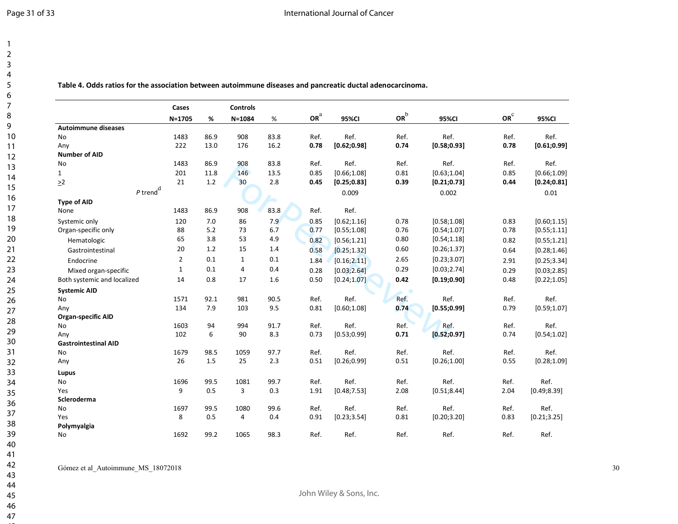**Table 4. Odds ratios for the association between autoimmune diseases and pancreatic ductal adenocarcinoma.** 

|                             | Cases          |      | <b>Controls</b> |      |                 |              |                 |              |                 |              |
|-----------------------------|----------------|------|-----------------|------|-----------------|--------------|-----------------|--------------|-----------------|--------------|
|                             | $N = 1705$     | %    | $N = 1084$      | %    | OR <sup>a</sup> | 95%CI        | or <sup>b</sup> | 95%CI        | OR <sup>c</sup> | 95%CI        |
| <b>Autoimmune diseases</b>  |                |      |                 |      |                 |              |                 |              |                 |              |
| No                          | 1483           | 86.9 | 908             | 83.8 | Ref.            | Ref.         | Ref.            | Ref.         | Ref.            | Ref.         |
| Any                         | 222            | 13.0 | 176             | 16.2 | 0.78            | [0.62; 0.98] | 0.74            | [0.58; 0.93] | 0.78            | [0.61; 0.99] |
| <b>Number of AID</b>        |                |      |                 |      |                 |              |                 |              |                 |              |
| No                          | 1483           | 86.9 | 908             | 83.8 | Ref.            | Ref.         | Ref.            | Ref.         | Ref.            | Ref.         |
| $\mathbf{1}$                | 201            | 11.8 | 146             | 13.5 | 0.85            | [0.66; 1.08] | 0.81            | [0.63;1.04]  | 0.85            | [0.66; 1.09] |
| $\geq$ 2                    | 21             | 1.2  | 30              | 2.8  | 0.45            | [0.25; 0.83] | 0.39            | [0.21; 0.73] | 0.44            | [0.24; 0.81] |
| $P$ trend <sup>d</sup>      |                |      |                 |      |                 | 0.009        |                 | 0.002        |                 | 0.01         |
| <b>Type of AID</b>          |                |      |                 |      |                 |              |                 |              |                 |              |
| None                        | 1483           | 86.9 | 908             | 83.8 | Ref.            | Ref.         |                 |              |                 |              |
| Systemic only               | 120            | 7.0  | 86              | 7.9  | 0.85            | [0.62; 1.16] | 0.78            | [0.58; 1.08] | 0.83            | [0.60; 1.15] |
| Organ-specific only         | 88             | 5.2  | 73              | 6.7  | 0.77            | [0.55; 1.08] | 0.76            | [0.54; 1.07] | 0.78            | [0.55;1.11]  |
| Hematologic                 | 65             | 3.8  | 53              | 4.9  | 0.82            | [0.56; 1.21] | 0.80            | [0.54; 1.18] | 0.82            | [0.55; 1.21] |
| Gastrointestinal            | 20             | 1.2  | 15              | 1.4  | 0.58            | [0.25; 1.32] | 0.60            | [0.26; 1.37] | 0.64            | [0.28; 1.46] |
| Endocrine                   | $\overline{2}$ | 0.1  | $\mathbf{1}$    | 0.1  | 1.84            | [0.16; 2.11] | 2.65            | [0.23; 3.07] | 2.91            | [0.25; 3.34] |
| Mixed organ-specific        | $\mathbf{1}$   | 0.1  | 4               | 0.4  | 0.28            | [0.03; 2.64] | 0.29            | [0.03; 2.74] | 0.29            | [0.03; 2.85] |
| Both systemic and localized | 14             | 0.8  | 17              | 1.6  | 0.50            | [0.24; 1.07] | 0.42            | [0.19; 0.90] | 0.48            | [0.22;1.05]  |
| <b>Systemic AID</b>         |                |      |                 |      |                 |              |                 |              |                 |              |
| <b>No</b>                   | 1571           | 92.1 | 981             | 90.5 | Ref.            | Ref.         | Ref.            | Ref.         | Ref.            | Ref.         |
| Any                         | 134            | 7.9  | 103             | 9.5  | 0.81            | [0.60;1.08]  | 0.74            | [0.55; 0.99] | 0.79            | [0.59;1.07]  |
| <b>Organ-specific AID</b>   |                |      |                 |      |                 |              |                 |              |                 |              |
| No                          | 1603           | 94   | 994             | 91.7 | Ref.            | Ref.         | Ref.            | Ref.         | Ref.            | Ref.         |
| Any                         | 102            | 6    | 90              | 8.3  | 0.73            | [0.53; 0.99] | 0.71            | [0.52; 0.97] | 0.74            | [0.54;1.02]  |
| <b>Gastrointestinal AID</b> |                |      |                 |      |                 |              |                 |              |                 |              |
| <b>No</b>                   | 1679           | 98.5 | 1059            | 97.7 | Ref.            | Ref.         | Ref.            | Ref.         | Ref.            | Ref.         |
| Any                         | 26             | 1.5  | 25              | 2.3  | 0.51            | [0.26; 0.99] | 0.51            | [0.26;1.00]  | 0.55            | [0.28;1.09]  |
| Lupus                       |                |      |                 |      |                 |              |                 |              |                 |              |
| No                          | 1696           | 99.5 | 1081            | 99.7 | Ref.            | Ref.         | Ref.            | Ref.         | Ref.            | Ref.         |
| Yes                         | 9              | 0.5  | 3               | 0.3  | 1.91            | [0.48; 7.53] | 2.08            | [0.51; 8.44] | 2.04            | [0.49; 8.39] |
| Scleroderma                 |                |      |                 |      |                 |              |                 |              |                 |              |
| No                          | 1697           | 99.5 | 1080            | 99.6 | Ref.            | Ref.         | Ref.            | Ref.         | Ref.            | Ref.         |
| Yes                         | 8              | 0.5  | 4               | 0.4  | 0.91            | [0.23; 3.54] | 0.81            | [0.20; 3.20] | 0.83            | [0.21; 3.25] |
| Polymyalgia                 |                |      |                 |      |                 |              |                 |              |                 |              |
| No                          | 1692           | 99.2 | 1065            | 98.3 | Ref.            | Ref.         | Ref.            | Ref.         | Ref.            | Ref.         |

Gómez et al\_Autoimmune\_MS\_18072018 30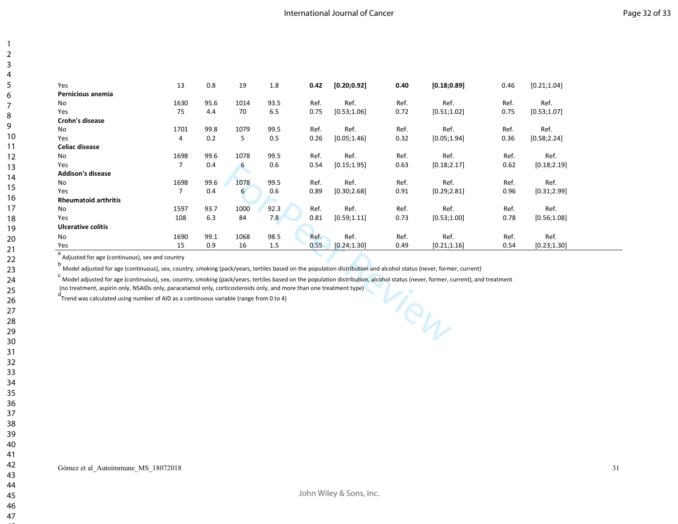| Yes                         | 13             | 0.8  | 19   | 1.8  | 0.42 | [0.20; 0.92] | 0.40 | [0.18; 0.89] | 0.46 | [0.21;1.04]  |
|-----------------------------|----------------|------|------|------|------|--------------|------|--------------|------|--------------|
| Pernicious anemia           |                |      |      |      |      |              |      |              |      |              |
| No                          | 1630           | 95.6 | 1014 | 93.5 | Ref. | Ref.         | Ref. | Ref.         | Ref. | Ref.         |
| Yes                         | 75             | 4.4  | 70   | 6.5  | 0.75 | [0.53;1.06]  | 0.72 | [0.51; 1.02] | 0.75 | [0.53;1.07]  |
| Crohn's disease             |                |      |      |      |      |              |      |              |      |              |
| No                          | 1701           | 99.8 | 1079 | 99.5 | Ref. | Ref.         | Ref. | Ref.         | Ref. | Ref.         |
| Yes                         | 4              | 0.2  | 5    | 0.5  | 0.26 | [0.05; 1.46] | 0.32 | [0.05; 1.94] | 0.36 | [0.58; 2.24] |
| <b>Celiac disease</b>       |                |      |      |      |      |              |      |              |      |              |
| No                          | 1698           | 99.6 | 1078 | 99.5 | Ref. | Ref.         | Ref. | Ref.         | Ref. | Ref.         |
| Yes                         | $\overline{7}$ | 0.4  | 6    | 0.6  | 0.54 | [0.15; 1.95] | 0.63 | [0.18; 2.17] | 0.62 | [0.18; 2.19] |
| <b>Addison's disease</b>    |                |      |      |      |      |              |      |              |      |              |
| No                          | 1698           | 99.6 | 1078 | 99.5 | Ref. | Ref.         | Ref. | Ref.         | Ref. | Ref.         |
| Yes                         | 7              | 0.4  | 6    | 0.6  | 0.89 | [0.30; 2.68] | 0.91 | [0.29; 2.81] | 0.96 | [0.31; 2.99] |
| <b>Rheumatoid arthritis</b> |                |      |      |      |      |              |      |              |      |              |
| No                          | 1597           | 93.7 | 1000 | 92.3 | Ref. | Ref.         | Ref. | Ref.         | Ref. | Ref.         |
| Yes                         | 108            | 6.3  | 84   | 7.8  | 0.81 | [0.59;1.11]  | 0.73 | [0.53;1.00]  | 0.78 | [0.56; 1.08] |
| <b>Ulcerative colitis</b>   |                |      |      |      |      |              |      |              |      |              |
| No                          | 1690           | 99.1 | 1068 | 98.5 | Ref. | Ref.         | Ref. | Ref.         | Ref. | Ref.         |
| Yes                         | 15             | 0.9  | 16   | 1.5  | 0.55 | [0.24; 1.30] | 0.49 | [0.21; 1.16] | 0.54 | [0.23; 1.30] |

<sup>a</sup> Adjusted for age (continuous), sex and country

b<br>Model adjusted for age (continuous), sex, country, smoking (pack/years, tertiles based on the population distribution and alcohol status (never, former, current)

ppulation distribution and alcohol status (never, former<br>ppulation distribution, alcohol status (never, former, c<br>ne treatment type) c<br>C Model adjusted for age (continuous), sex, country, smoking (pack/years, tertiles based on the population distribution, alcohol status (never, former, current), and treatment

(no treatment, aspirin only, NSAIDs only, paracetamol only, corticosteroids only, and more than one treatment type)

 $\rm{d}$ Trend was calculated using number of AID as a continuous variable (range from 0 to 4)

1 23

Gómez et al. Autoimmune MS 18072018 31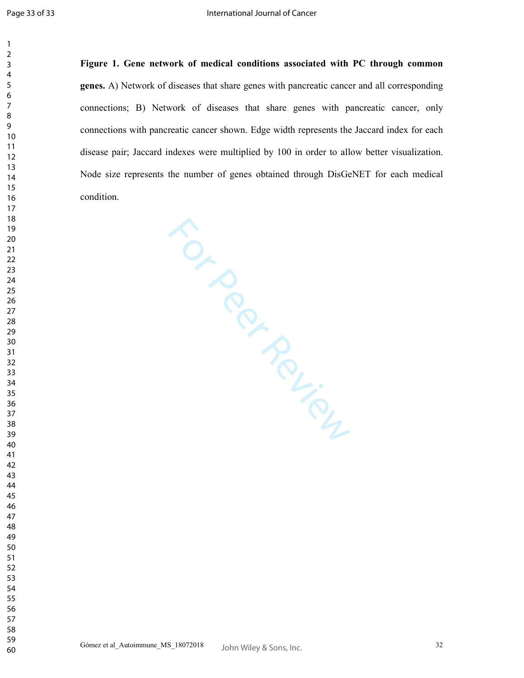**Figure 1. Gene network of medical conditions associated with PC through common genes.** A) Network of diseases that share genes with pancreatic cancer and all corresponding connections; B) Network of diseases that share genes with pancreatic cancer, only connections with pancreatic cancer shown. Edge width represents the Jaccard index for each disease pair; Jaccard indexes were multiplied by 100 in order to allow better visualization. Node size represents the number of genes obtained through DisGeNET for each medical condition.

For Perincipal